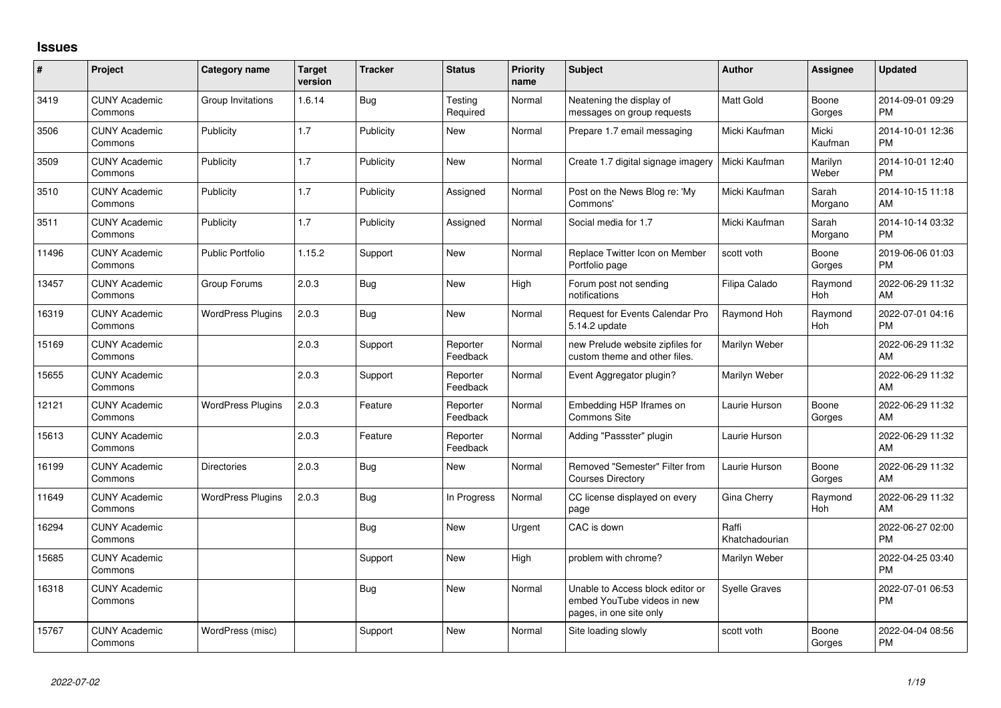## **Issues**

| #     | Project                         | <b>Category name</b>     | <b>Target</b><br>version | <b>Tracker</b> | <b>Status</b>        | <b>Priority</b><br>name | <b>Subject</b>                                                                             | <b>Author</b>           | Assignee         | <b>Updated</b>                |
|-------|---------------------------------|--------------------------|--------------------------|----------------|----------------------|-------------------------|--------------------------------------------------------------------------------------------|-------------------------|------------------|-------------------------------|
| 3419  | <b>CUNY Academic</b><br>Commons | Group Invitations        | 1.6.14                   | Bug            | Testing<br>Required  | Normal                  | Neatening the display of<br>messages on group requests                                     | <b>Matt Gold</b>        | Boone<br>Gorges  | 2014-09-01 09:29<br><b>PM</b> |
| 3506  | <b>CUNY Academic</b><br>Commons | Publicity                | 1.7                      | Publicity      | New                  | Normal                  | Prepare 1.7 email messaging                                                                | Micki Kaufman           | Micki<br>Kaufman | 2014-10-01 12:36<br><b>PM</b> |
| 3509  | <b>CUNY Academic</b><br>Commons | Publicity                | 1.7                      | Publicity      | New                  | Normal                  | Create 1.7 digital signage imagery                                                         | Micki Kaufman           | Marilyn<br>Weber | 2014-10-01 12:40<br><b>PM</b> |
| 3510  | <b>CUNY Academic</b><br>Commons | Publicity                | 1.7                      | Publicity      | Assigned             | Normal                  | Post on the News Blog re: 'My<br>Commons'                                                  | Micki Kaufman           | Sarah<br>Morgano | 2014-10-15 11:18<br>AM        |
| 3511  | <b>CUNY Academic</b><br>Commons | Publicity                | 1.7                      | Publicity      | Assigned             | Normal                  | Social media for 1.7                                                                       | Micki Kaufman           | Sarah<br>Morgano | 2014-10-14 03:32<br><b>PM</b> |
| 11496 | <b>CUNY Academic</b><br>Commons | <b>Public Portfolio</b>  | 1.15.2                   | Support        | New                  | Normal                  | Replace Twitter Icon on Member<br>Portfolio page                                           | scott voth              | Boone<br>Gorges  | 2019-06-06 01:03<br><b>PM</b> |
| 13457 | <b>CUNY Academic</b><br>Commons | Group Forums             | 2.0.3                    | <b>Bug</b>     | <b>New</b>           | High                    | Forum post not sending<br>notifications                                                    | Filipa Calado           | Raymond<br>Hoh   | 2022-06-29 11:32<br>AM        |
| 16319 | <b>CUNY Academic</b><br>Commons | <b>WordPress Plugins</b> | 2.0.3                    | Bug            | New                  | Normal                  | Request for Events Calendar Pro<br>5.14.2 update                                           | Raymond Hoh             | Raymond<br>Hoh   | 2022-07-01 04:16<br><b>PM</b> |
| 15169 | <b>CUNY Academic</b><br>Commons |                          | 2.0.3                    | Support        | Reporter<br>Feedback | Normal                  | new Prelude website zipfiles for<br>custom theme and other files.                          | Marilyn Weber           |                  | 2022-06-29 11:32<br>AM        |
| 15655 | <b>CUNY Academic</b><br>Commons |                          | 2.0.3                    | Support        | Reporter<br>Feedback | Normal                  | Event Aggregator plugin?                                                                   | Marilyn Weber           |                  | 2022-06-29 11:32<br>AM        |
| 12121 | <b>CUNY Academic</b><br>Commons | <b>WordPress Plugins</b> | 2.0.3                    | Feature        | Reporter<br>Feedback | Normal                  | Embedding H5P Iframes on<br>Commons Site                                                   | Laurie Hurson           | Boone<br>Gorges  | 2022-06-29 11:32<br>AM        |
| 15613 | <b>CUNY Academic</b><br>Commons |                          | 2.0.3                    | Feature        | Reporter<br>Feedback | Normal                  | Adding "Passster" plugin                                                                   | Laurie Hurson           |                  | 2022-06-29 11:32<br>AM        |
| 16199 | <b>CUNY Academic</b><br>Commons | <b>Directories</b>       | 2.0.3                    | <b>Bug</b>     | New                  | Normal                  | Removed "Semester" Filter from<br><b>Courses Directory</b>                                 | Laurie Hurson           | Boone<br>Gorges  | 2022-06-29 11:32<br>AM        |
| 11649 | <b>CUNY Academic</b><br>Commons | <b>WordPress Plugins</b> | 2.0.3                    | Bug            | In Progress          | Normal                  | CC license displayed on every<br>page                                                      | Gina Cherry             | Raymond<br>Hoh   | 2022-06-29 11:32<br>AM        |
| 16294 | <b>CUNY Academic</b><br>Commons |                          |                          | Bug            | New                  | Urgent                  | CAC is down                                                                                | Raffi<br>Khatchadourian |                  | 2022-06-27 02:00<br><b>PM</b> |
| 15685 | <b>CUNY Academic</b><br>Commons |                          |                          | Support        | New                  | High                    | problem with chrome?                                                                       | Marilyn Weber           |                  | 2022-04-25 03:40<br><b>PM</b> |
| 16318 | <b>CUNY Academic</b><br>Commons |                          |                          | <b>Bug</b>     | New                  | Normal                  | Unable to Access block editor or<br>embed YouTube videos in new<br>pages, in one site only | <b>Syelle Graves</b>    |                  | 2022-07-01 06:53<br><b>PM</b> |
| 15767 | <b>CUNY Academic</b><br>Commons | WordPress (misc)         |                          | Support        | <b>New</b>           | Normal                  | Site loading slowly                                                                        | scott voth              | Boone<br>Gorges  | 2022-04-04 08:56<br><b>PM</b> |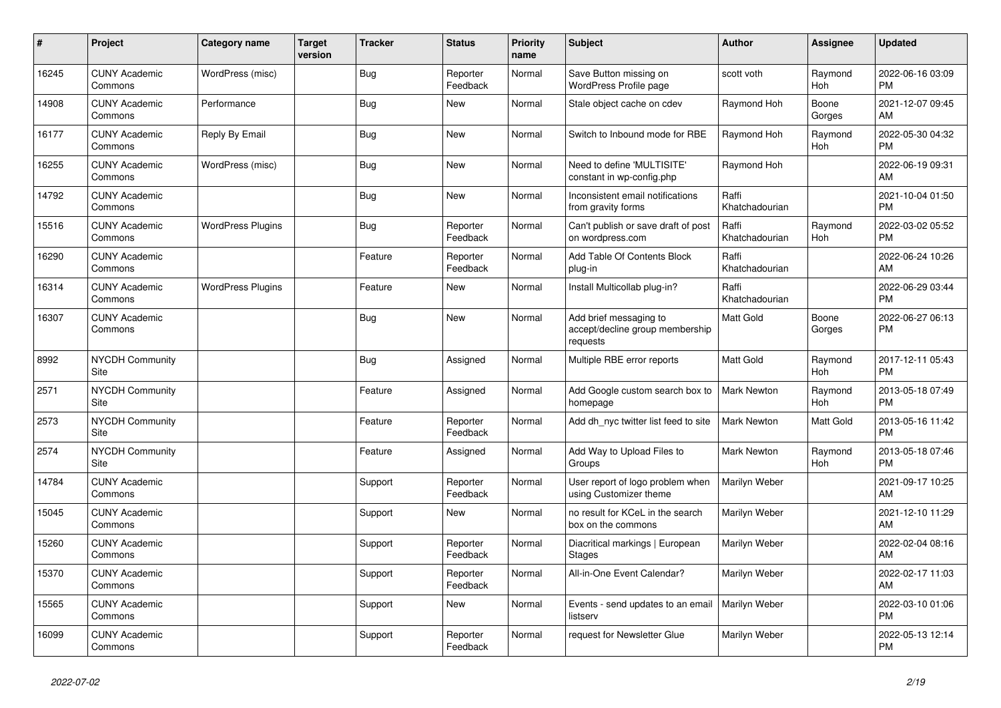| #     | Project                         | <b>Category name</b>     | <b>Target</b><br>version | <b>Tracker</b> | <b>Status</b>        | <b>Priority</b><br>name | <b>Subject</b>                                                        | <b>Author</b>           | <b>Assignee</b> | <b>Updated</b>                |
|-------|---------------------------------|--------------------------|--------------------------|----------------|----------------------|-------------------------|-----------------------------------------------------------------------|-------------------------|-----------------|-------------------------------|
| 16245 | <b>CUNY Academic</b><br>Commons | WordPress (misc)         |                          | <b>Bug</b>     | Reporter<br>Feedback | Normal                  | Save Button missing on<br>WordPress Profile page                      | scott voth              | Raymond<br>Hoh  | 2022-06-16 03:09<br><b>PM</b> |
| 14908 | <b>CUNY Academic</b><br>Commons | Performance              |                          | Bug            | New                  | Normal                  | Stale object cache on cdev                                            | Raymond Hoh             | Boone<br>Gorges | 2021-12-07 09:45<br>AM        |
| 16177 | <b>CUNY Academic</b><br>Commons | Reply By Email           |                          | <b>Bug</b>     | <b>New</b>           | Normal                  | Switch to Inbound mode for RBE                                        | Raymond Hoh             | Raymond<br>Hoh  | 2022-05-30 04:32<br><b>PM</b> |
| 16255 | <b>CUNY Academic</b><br>Commons | WordPress (misc)         |                          | Bug            | New                  | Normal                  | Need to define 'MULTISITE'<br>constant in wp-config.php               | Raymond Hoh             |                 | 2022-06-19 09:31<br>AM        |
| 14792 | <b>CUNY Academic</b><br>Commons |                          |                          | Bug            | New                  | Normal                  | Inconsistent email notifications<br>from gravity forms                | Raffi<br>Khatchadourian |                 | 2021-10-04 01:50<br><b>PM</b> |
| 15516 | <b>CUNY Academic</b><br>Commons | <b>WordPress Plugins</b> |                          | <b>Bug</b>     | Reporter<br>Feedback | Normal                  | Can't publish or save draft of post<br>on wordpress.com               | Raffi<br>Khatchadourian | Raymond<br>Hoh  | 2022-03-02 05:52<br><b>PM</b> |
| 16290 | <b>CUNY Academic</b><br>Commons |                          |                          | Feature        | Reporter<br>Feedback | Normal                  | Add Table Of Contents Block<br>plug-in                                | Raffi<br>Khatchadourian |                 | 2022-06-24 10:26<br>AM        |
| 16314 | <b>CUNY Academic</b><br>Commons | <b>WordPress Plugins</b> |                          | Feature        | New                  | Normal                  | Install Multicollab plug-in?                                          | Raffi<br>Khatchadourian |                 | 2022-06-29 03:44<br><b>PM</b> |
| 16307 | <b>CUNY Academic</b><br>Commons |                          |                          | Bug            | New                  | Normal                  | Add brief messaging to<br>accept/decline group membership<br>requests | <b>Matt Gold</b>        | Boone<br>Gorges | 2022-06-27 06:13<br><b>PM</b> |
| 8992  | <b>NYCDH Community</b><br>Site  |                          |                          | Bug            | Assigned             | Normal                  | Multiple RBE error reports                                            | <b>Matt Gold</b>        | Raymond<br>Hoh  | 2017-12-11 05:43<br><b>PM</b> |
| 2571  | <b>NYCDH Community</b><br>Site  |                          |                          | Feature        | Assigned             | Normal                  | Add Google custom search box to<br>homepage                           | Mark Newton             | Raymond<br>Hoh  | 2013-05-18 07:49<br><b>PM</b> |
| 2573  | <b>NYCDH Community</b><br>Site  |                          |                          | Feature        | Reporter<br>Feedback | Normal                  | Add dh nyc twitter list feed to site                                  | <b>Mark Newton</b>      | Matt Gold       | 2013-05-16 11:42<br><b>PM</b> |
| 2574  | <b>NYCDH Community</b><br>Site  |                          |                          | Feature        | Assigned             | Normal                  | Add Way to Upload Files to<br>Groups                                  | <b>Mark Newton</b>      | Raymond<br>Hoh  | 2013-05-18 07:46<br><b>PM</b> |
| 14784 | <b>CUNY Academic</b><br>Commons |                          |                          | Support        | Reporter<br>Feedback | Normal                  | User report of logo problem when<br>using Customizer theme            | Marilyn Weber           |                 | 2021-09-17 10:25<br>AM        |
| 15045 | <b>CUNY Academic</b><br>Commons |                          |                          | Support        | New                  | Normal                  | no result for KCeL in the search<br>box on the commons                | Marilyn Weber           |                 | 2021-12-10 11:29<br>AM        |
| 15260 | <b>CUNY Academic</b><br>Commons |                          |                          | Support        | Reporter<br>Feedback | Normal                  | Diacritical markings   European<br><b>Stages</b>                      | <b>Marilyn Weber</b>    |                 | 2022-02-04 08:16<br>AM        |
| 15370 | <b>CUNY Academic</b><br>Commons |                          |                          | Support        | Reporter<br>Feedback | Normal                  | All-in-One Event Calendar?                                            | Marilyn Weber           |                 | 2022-02-17 11:03<br>AM        |
| 15565 | <b>CUNY Academic</b><br>Commons |                          |                          | Support        | New                  | Normal                  | Events - send updates to an email<br>listserv                         | Marilyn Weber           |                 | 2022-03-10 01:06<br><b>PM</b> |
| 16099 | <b>CUNY Academic</b><br>Commons |                          |                          | Support        | Reporter<br>Feedback | Normal                  | request for Newsletter Glue                                           | Marilyn Weber           |                 | 2022-05-13 12:14<br><b>PM</b> |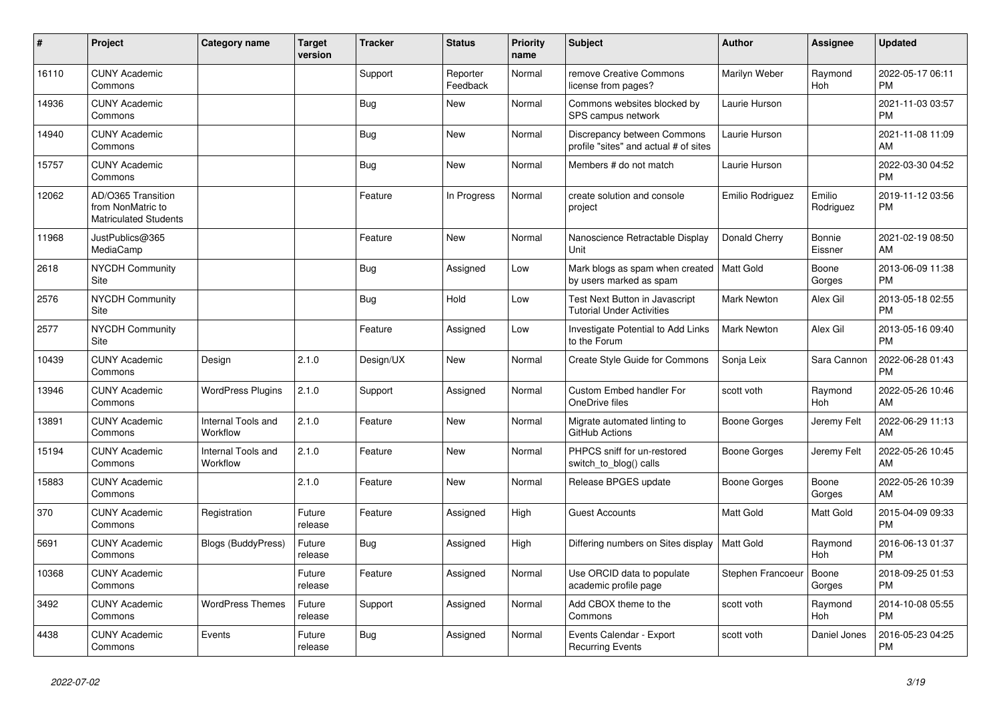| #     | Project                                                                 | <b>Category name</b>                  | <b>Target</b><br>version | <b>Tracker</b> | <b>Status</b>        | <b>Priority</b><br>name | <b>Subject</b>                                                       | <b>Author</b>      | <b>Assignee</b>          | <b>Updated</b>                |
|-------|-------------------------------------------------------------------------|---------------------------------------|--------------------------|----------------|----------------------|-------------------------|----------------------------------------------------------------------|--------------------|--------------------------|-------------------------------|
| 16110 | <b>CUNY Academic</b><br>Commons                                         |                                       |                          | Support        | Reporter<br>Feedback | Normal                  | remove Creative Commons<br>license from pages?                       | Marilyn Weber      | Raymond<br>Hoh           | 2022-05-17 06:11<br><b>PM</b> |
| 14936 | <b>CUNY Academic</b><br>Commons                                         |                                       |                          | Bug            | <b>New</b>           | Normal                  | Commons websites blocked by<br>SPS campus network                    | Laurie Hurson      |                          | 2021-11-03 03:57<br><b>PM</b> |
| 14940 | <b>CUNY Academic</b><br>Commons                                         |                                       |                          | Bug            | <b>New</b>           | Normal                  | Discrepancy between Commons<br>profile "sites" and actual # of sites | Laurie Hurson      |                          | 2021-11-08 11:09<br>AM        |
| 15757 | <b>CUNY Academic</b><br>Commons                                         |                                       |                          | <b>Bug</b>     | <b>New</b>           | Normal                  | Members # do not match                                               | Laurie Hurson      |                          | 2022-03-30 04:52<br><b>PM</b> |
| 12062 | AD/O365 Transition<br>from NonMatric to<br><b>Matriculated Students</b> |                                       |                          | Feature        | In Progress          | Normal                  | create solution and console<br>project                               | Emilio Rodriguez   | Emilio<br>Rodriguez      | 2019-11-12 03:56<br><b>PM</b> |
| 11968 | JustPublics@365<br>MediaCamp                                            |                                       |                          | Feature        | <b>New</b>           | Normal                  | Nanoscience Retractable Display<br>Unit                              | Donald Cherry      | <b>Bonnie</b><br>Eissner | 2021-02-19 08:50<br>AM        |
| 2618  | <b>NYCDH Community</b><br>Site                                          |                                       |                          | <b>Bug</b>     | Assigned             | Low                     | Mark blogs as spam when created<br>by users marked as spam           | Matt Gold          | Boone<br>Gorges          | 2013-06-09 11:38<br><b>PM</b> |
| 2576  | NYCDH Community<br><b>Site</b>                                          |                                       |                          | Bug            | Hold                 | Low                     | Test Next Button in Javascript<br><b>Tutorial Under Activities</b>   | <b>Mark Newton</b> | Alex Gil                 | 2013-05-18 02:55<br><b>PM</b> |
| 2577  | NYCDH Community<br>Site                                                 |                                       |                          | Feature        | Assigned             | Low                     | Investigate Potential to Add Links<br>to the Forum                   | <b>Mark Newton</b> | Alex Gil                 | 2013-05-16 09:40<br><b>PM</b> |
| 10439 | <b>CUNY Academic</b><br>Commons                                         | Design                                | 2.1.0                    | Design/UX      | <b>New</b>           | Normal                  | Create Style Guide for Commons                                       | Sonja Leix         | Sara Cannon              | 2022-06-28 01:43<br><b>PM</b> |
| 13946 | <b>CUNY Academic</b><br>Commons                                         | <b>WordPress Plugins</b>              | 2.1.0                    | Support        | Assigned             | Normal                  | Custom Embed handler For<br>OneDrive files                           | scott voth         | Raymond<br>Hoh           | 2022-05-26 10:46<br>AM        |
| 13891 | <b>CUNY Academic</b><br>Commons                                         | Internal Tools and<br>Workflow        | 2.1.0                    | Feature        | <b>New</b>           | Normal                  | Migrate automated linting to<br>GitHub Actions                       | Boone Gorges       | Jeremy Felt              | 2022-06-29 11:13<br>AM        |
| 15194 | <b>CUNY Academic</b><br>Commons                                         | <b>Internal Tools and</b><br>Workflow | 2.1.0                    | Feature        | <b>New</b>           | Normal                  | PHPCS sniff for un-restored<br>switch_to_blog() calls                | Boone Gorges       | Jeremy Felt              | 2022-05-26 10:45<br>AM        |
| 15883 | <b>CUNY Academic</b><br>Commons                                         |                                       | 2.1.0                    | Feature        | <b>New</b>           | Normal                  | Release BPGES update                                                 | Boone Gorges       | Boone<br>Gorges          | 2022-05-26 10:39<br>AM        |
| 370   | <b>CUNY Academic</b><br>Commons                                         | Registration                          | Future<br>release        | Feature        | Assigned             | High                    | <b>Guest Accounts</b>                                                | <b>Matt Gold</b>   | Matt Gold                | 2015-04-09 09:33<br><b>PM</b> |
| 5691  | <b>CUNY Academic</b><br>Commons                                         | Blogs (BuddyPress)                    | Future<br>release        | <b>Bug</b>     | Assigned             | High                    | Differing numbers on Sites display                                   | Matt Gold          | Raymond<br>Hoh           | 2016-06-13 01:37<br><b>PM</b> |
| 10368 | <b>CUNY Academic</b><br>Commons                                         |                                       | Future<br>release        | Feature        | Assigned             | Normal                  | Use ORCID data to populate<br>academic profile page                  | Stephen Francoeur  | Boone<br>Gorges          | 2018-09-25 01:53<br><b>PM</b> |
| 3492  | <b>CUNY Academic</b><br>Commons                                         | <b>WordPress Themes</b>               | Future<br>release        | Support        | Assigned             | Normal                  | Add CBOX theme to the<br>Commons                                     | scott voth         | Raymond<br>Hoh           | 2014-10-08 05:55<br><b>PM</b> |
| 4438  | <b>CUNY Academic</b><br>Commons                                         | Events                                | Future<br>release        | <b>Bug</b>     | Assigned             | Normal                  | Events Calendar - Export<br><b>Recurring Events</b>                  | scott voth         | Daniel Jones             | 2016-05-23 04:25<br><b>PM</b> |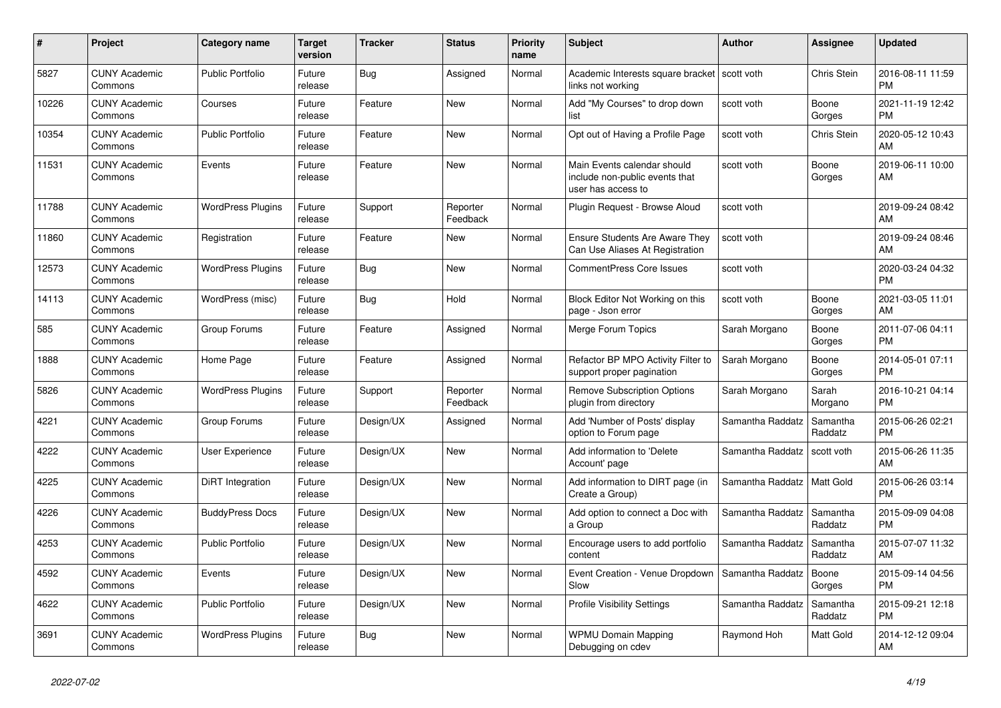| #     | <b>Project</b>                  | Category name            | Target<br>version | <b>Tracker</b> | <b>Status</b>        | <b>Priority</b><br>name | <b>Subject</b>                                                                      | <b>Author</b>    | Assignee            | <b>Updated</b>                |
|-------|---------------------------------|--------------------------|-------------------|----------------|----------------------|-------------------------|-------------------------------------------------------------------------------------|------------------|---------------------|-------------------------------|
| 5827  | <b>CUNY Academic</b><br>Commons | <b>Public Portfolio</b>  | Future<br>release | Bug            | Assigned             | Normal                  | Academic Interests square bracket<br>links not working                              | scott voth       | Chris Stein         | 2016-08-11 11:59<br><b>PM</b> |
| 10226 | <b>CUNY Academic</b><br>Commons | Courses                  | Future<br>release | Feature        | New                  | Normal                  | Add "My Courses" to drop down<br>list                                               | scott voth       | Boone<br>Gorges     | 2021-11-19 12:42<br>PM.       |
| 10354 | <b>CUNY Academic</b><br>Commons | <b>Public Portfolio</b>  | Future<br>release | Feature        | <b>New</b>           | Normal                  | Opt out of Having a Profile Page                                                    | scott voth       | Chris Stein         | 2020-05-12 10:43<br><b>AM</b> |
| 11531 | <b>CUNY Academic</b><br>Commons | Events                   | Future<br>release | Feature        | <b>New</b>           | Normal                  | Main Events calendar should<br>include non-public events that<br>user has access to | scott voth       | Boone<br>Gorges     | 2019-06-11 10:00<br>AM        |
| 11788 | <b>CUNY Academic</b><br>Commons | <b>WordPress Plugins</b> | Future<br>release | Support        | Reporter<br>Feedback | Normal                  | Plugin Request - Browse Aloud                                                       | scott voth       |                     | 2019-09-24 08:42<br><b>AM</b> |
| 11860 | <b>CUNY Academic</b><br>Commons | Registration             | Future<br>release | Feature        | New                  | Normal                  | <b>Ensure Students Are Aware They</b><br>Can Use Aliases At Registration            | scott voth       |                     | 2019-09-24 08:46<br>AM.       |
| 12573 | <b>CUNY Academic</b><br>Commons | <b>WordPress Plugins</b> | Future<br>release | Bug            | <b>New</b>           | Normal                  | <b>CommentPress Core Issues</b>                                                     | scott voth       |                     | 2020-03-24 04:32<br><b>PM</b> |
| 14113 | <b>CUNY Academic</b><br>Commons | WordPress (misc)         | Future<br>release | Bug            | Hold                 | Normal                  | Block Editor Not Working on this<br>page - Json error                               | scott voth       | Boone<br>Gorges     | 2021-03-05 11:01<br><b>AM</b> |
| 585   | <b>CUNY Academic</b><br>Commons | Group Forums             | Future<br>release | Feature        | Assigned             | Normal                  | Merge Forum Topics                                                                  | Sarah Morgano    | Boone<br>Gorges     | 2011-07-06 04:11<br>PM.       |
| 1888  | <b>CUNY Academic</b><br>Commons | Home Page                | Future<br>release | Feature        | Assigned             | Normal                  | Refactor BP MPO Activity Filter to<br>support proper pagination                     | Sarah Morgano    | Boone<br>Gorges     | 2014-05-01 07:11<br><b>PM</b> |
| 5826  | <b>CUNY Academic</b><br>Commons | <b>WordPress Plugins</b> | Future<br>release | Support        | Reporter<br>Feedback | Normal                  | <b>Remove Subscription Options</b><br>plugin from directory                         | Sarah Morgano    | Sarah<br>Morgano    | 2016-10-21 04:14<br><b>PM</b> |
| 4221  | <b>CUNY Academic</b><br>Commons | Group Forums             | Future<br>release | Design/UX      | Assigned             | Normal                  | Add 'Number of Posts' display<br>option to Forum page                               | Samantha Raddatz | Samantha<br>Raddatz | 2015-06-26 02:21<br><b>PM</b> |
| 4222  | <b>CUNY Academic</b><br>Commons | <b>User Experience</b>   | Future<br>release | Design/UX      | New                  | Normal                  | Add information to 'Delete<br>Account' page                                         | Samantha Raddatz | scott voth          | 2015-06-26 11:35<br><b>AM</b> |
| 4225  | <b>CUNY Academic</b><br>Commons | DiRT Integration         | Future<br>release | Design/UX      | <b>New</b>           | Normal                  | Add information to DIRT page (in<br>Create a Group)                                 | Samantha Raddatz | Matt Gold           | 2015-06-26 03:14<br><b>PM</b> |
| 4226  | <b>CUNY Academic</b><br>Commons | <b>BuddyPress Docs</b>   | Future<br>release | Design/UX      | New                  | Normal                  | Add option to connect a Doc with<br>a Group                                         | Samantha Raddatz | Samantha<br>Raddatz | 2015-09-09 04:08<br><b>PM</b> |
| 4253  | <b>CUNY Academic</b><br>Commons | Public Portfolio         | Future<br>release | Design/UX      | New                  | Normal                  | Encourage users to add portfolio<br>content                                         | Samantha Raddatz | Samantha<br>Raddatz | 2015-07-07 11:32<br><b>AM</b> |
| 4592  | <b>CUNY Academic</b><br>Commons | Events                   | Future<br>release | Design/UX      | <b>New</b>           | Normal                  | Event Creation - Venue Dropdown<br>Slow                                             | Samantha Raddatz | Boone<br>Gorges     | 2015-09-14 04:56<br><b>PM</b> |
| 4622  | <b>CUNY Academic</b><br>Commons | <b>Public Portfolio</b>  | Future<br>release | Design/UX      | New                  | Normal                  | <b>Profile Visibility Settings</b>                                                  | Samantha Raddatz | Samantha<br>Raddatz | 2015-09-21 12:18<br><b>PM</b> |
| 3691  | <b>CUNY Academic</b><br>Commons | <b>WordPress Plugins</b> | Future<br>release | Bug            | <b>New</b>           | Normal                  | <b>WPMU Domain Mapping</b><br>Debugging on cdev                                     | Raymond Hoh      | Matt Gold           | 2014-12-12 09:04<br>AM        |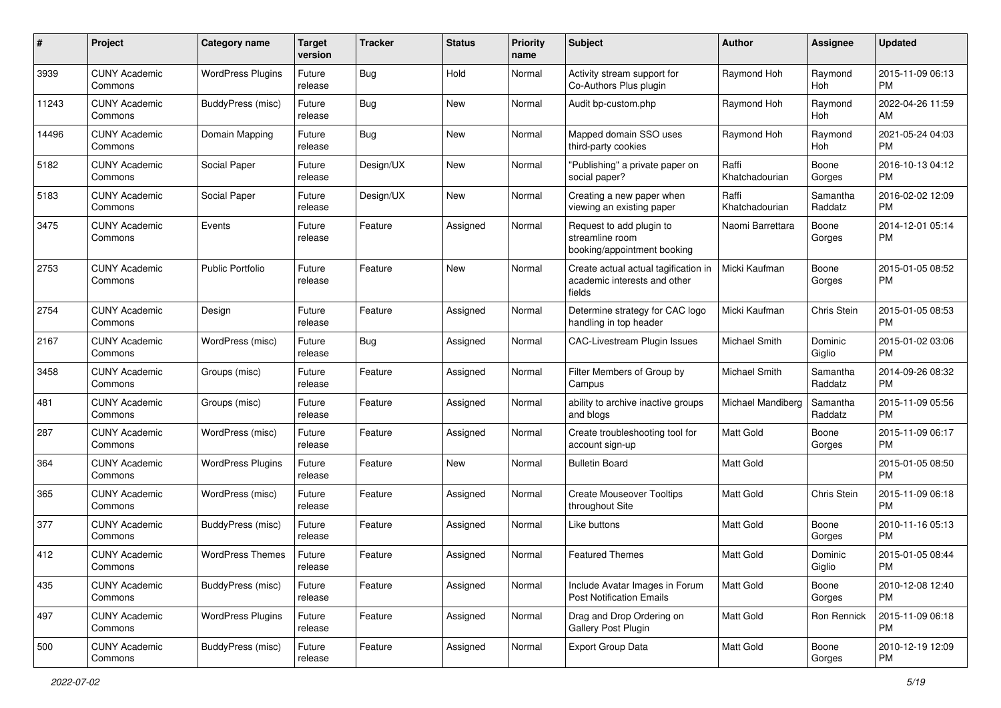| #     | Project                         | <b>Category name</b>     | <b>Target</b><br>version | <b>Tracker</b> | <b>Status</b> | Priority<br>name | <b>Subject</b>                                                                 | Author                  | <b>Assignee</b>     | <b>Updated</b>                |
|-------|---------------------------------|--------------------------|--------------------------|----------------|---------------|------------------|--------------------------------------------------------------------------------|-------------------------|---------------------|-------------------------------|
| 3939  | <b>CUNY Academic</b><br>Commons | <b>WordPress Plugins</b> | Future<br>release        | Bug            | Hold          | Normal           | Activity stream support for<br>Co-Authors Plus plugin                          | Raymond Hoh             | Raymond<br>Hoh      | 2015-11-09 06:13<br><b>PM</b> |
| 11243 | <b>CUNY Academic</b><br>Commons | BuddyPress (misc)        | Future<br>release        | <b>Bug</b>     | New           | Normal           | Audit bp-custom.php                                                            | Raymond Hoh             | Raymond<br>Hoh      | 2022-04-26 11:59<br>AM        |
| 14496 | <b>CUNY Academic</b><br>Commons | Domain Mapping           | Future<br>release        | Bug            | New           | Normal           | Mapped domain SSO uses<br>third-party cookies                                  | Raymond Hoh             | Raymond<br>Hoh      | 2021-05-24 04:03<br>PM        |
| 5182  | <b>CUNY Academic</b><br>Commons | Social Paper             | Future<br>release        | Design/UX      | <b>New</b>    | Normal           | "Publishing" a private paper on<br>social paper?                               | Raffi<br>Khatchadourian | Boone<br>Gorges     | 2016-10-13 04:12<br><b>PM</b> |
| 5183  | <b>CUNY Academic</b><br>Commons | Social Paper             | Future<br>release        | Design/UX      | New           | Normal           | Creating a new paper when<br>viewing an existing paper                         | Raffi<br>Khatchadourian | Samantha<br>Raddatz | 2016-02-02 12:09<br><b>PM</b> |
| 3475  | <b>CUNY Academic</b><br>Commons | Events                   | Future<br>release        | Feature        | Assigned      | Normal           | Request to add plugin to<br>streamline room<br>booking/appointment booking     | Naomi Barrettara        | Boone<br>Gorges     | 2014-12-01 05:14<br><b>PM</b> |
| 2753  | <b>CUNY Academic</b><br>Commons | <b>Public Portfolio</b>  | Future<br>release        | Feature        | New           | Normal           | Create actual actual tagification in<br>academic interests and other<br>fields | Micki Kaufman           | Boone<br>Gorges     | 2015-01-05 08:52<br><b>PM</b> |
| 2754  | <b>CUNY Academic</b><br>Commons | Design                   | Future<br>release        | Feature        | Assigned      | Normal           | Determine strategy for CAC logo<br>handling in top header                      | Micki Kaufman           | Chris Stein         | 2015-01-05 08:53<br><b>PM</b> |
| 2167  | <b>CUNY Academic</b><br>Commons | WordPress (misc)         | Future<br>release        | Bug            | Assigned      | Normal           | CAC-Livestream Plugin Issues                                                   | Michael Smith           | Dominic<br>Giglio   | 2015-01-02 03:06<br><b>PM</b> |
| 3458  | <b>CUNY Academic</b><br>Commons | Groups (misc)            | Future<br>release        | Feature        | Assigned      | Normal           | Filter Members of Group by<br>Campus                                           | Michael Smith           | Samantha<br>Raddatz | 2014-09-26 08:32<br><b>PM</b> |
| 481   | <b>CUNY Academic</b><br>Commons | Groups (misc)            | Future<br>release        | Feature        | Assigned      | Normal           | ability to archive inactive groups<br>and blogs                                | Michael Mandiberg       | Samantha<br>Raddatz | 2015-11-09 05:56<br><b>PM</b> |
| 287   | <b>CUNY Academic</b><br>Commons | WordPress (misc)         | Future<br>release        | Feature        | Assigned      | Normal           | Create troubleshooting tool for<br>account sign-up                             | Matt Gold               | Boone<br>Gorges     | 2015-11-09 06:17<br><b>PM</b> |
| 364   | <b>CUNY Academic</b><br>Commons | <b>WordPress Plugins</b> | Future<br>release        | Feature        | <b>New</b>    | Normal           | <b>Bulletin Board</b>                                                          | <b>Matt Gold</b>        |                     | 2015-01-05 08:50<br><b>PM</b> |
| 365   | <b>CUNY Academic</b><br>Commons | WordPress (misc)         | Future<br>release        | Feature        | Assigned      | Normal           | <b>Create Mouseover Tooltips</b><br>throughout Site                            | <b>Matt Gold</b>        | Chris Stein         | 2015-11-09 06:18<br><b>PM</b> |
| 377   | <b>CUNY Academic</b><br>Commons | BuddyPress (misc)        | Future<br>release        | Feature        | Assigned      | Normal           | Like buttons                                                                   | <b>Matt Gold</b>        | Boone<br>Gorges     | 2010-11-16 05:13<br><b>PM</b> |
| 412   | <b>CUNY Academic</b><br>Commons | <b>WordPress Themes</b>  | Future<br>reiease        | Feature        | Assigned      | Normal           | <b>Featured Themes</b>                                                         | Matt Gold               | Dominic<br>Giglio   | 2015-01-05 08:44<br>PM        |
| 435   | <b>CUNY Academic</b><br>Commons | BuddyPress (misc)        | Future<br>release        | Feature        | Assigned      | Normal           | Include Avatar Images in Forum<br><b>Post Notification Emails</b>              | Matt Gold               | Boone<br>Gorges     | 2010-12-08 12:40<br><b>PM</b> |
| 497   | <b>CUNY Academic</b><br>Commons | <b>WordPress Plugins</b> | Future<br>release        | Feature        | Assigned      | Normal           | Drag and Drop Ordering on<br>Gallery Post Plugin                               | Matt Gold               | Ron Rennick         | 2015-11-09 06:18<br><b>PM</b> |
| 500   | <b>CUNY Academic</b><br>Commons | BuddyPress (misc)        | Future<br>release        | Feature        | Assigned      | Normal           | Export Group Data                                                              | Matt Gold               | Boone<br>Gorges     | 2010-12-19 12:09<br>PM.       |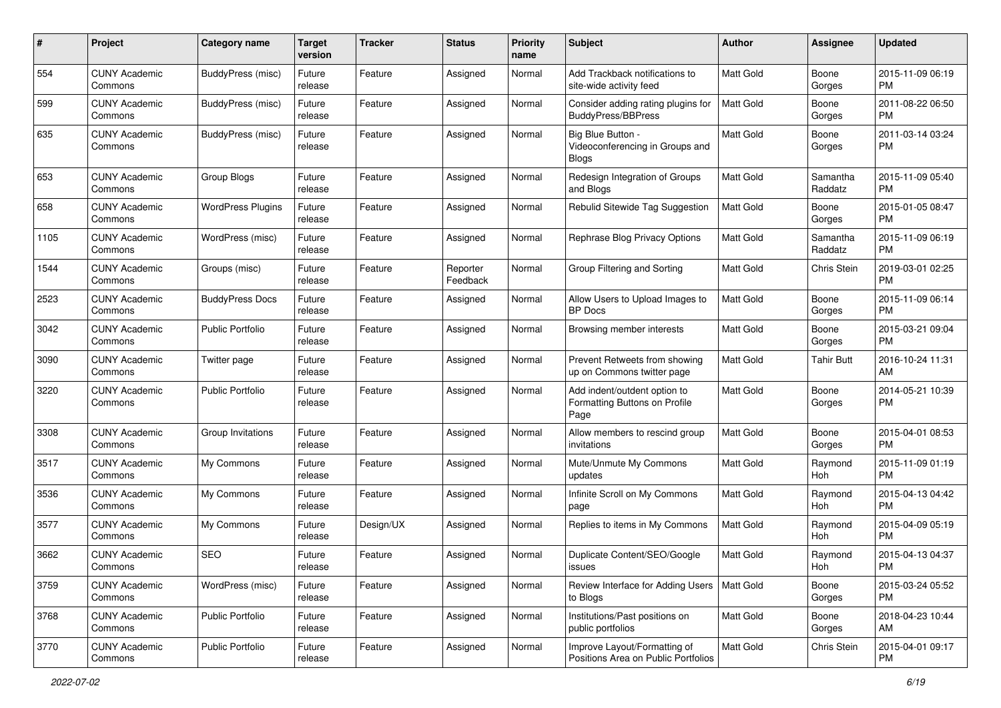| #    | Project                         | <b>Category name</b>     | <b>Target</b><br>version | <b>Tracker</b> | <b>Status</b>        | <b>Priority</b><br>name | <b>Subject</b>                                                        | Author           | <b>Assignee</b>     | <b>Updated</b>                |
|------|---------------------------------|--------------------------|--------------------------|----------------|----------------------|-------------------------|-----------------------------------------------------------------------|------------------|---------------------|-------------------------------|
| 554  | <b>CUNY Academic</b><br>Commons | BuddyPress (misc)        | Future<br>release        | Feature        | Assigned             | Normal                  | Add Trackback notifications to<br>site-wide activity feed             | <b>Matt Gold</b> | Boone<br>Gorges     | 2015-11-09 06:19<br><b>PM</b> |
| 599  | <b>CUNY Academic</b><br>Commons | <b>BuddyPress</b> (misc) | Future<br>release        | Feature        | Assigned             | Normal                  | Consider adding rating plugins for<br><b>BuddyPress/BBPress</b>       | Matt Gold        | Boone<br>Gorges     | 2011-08-22 06:50<br><b>PM</b> |
| 635  | <b>CUNY Academic</b><br>Commons | <b>BuddyPress</b> (misc) | Future<br>release        | Feature        | Assigned             | Normal                  | Big Blue Button -<br>Videoconferencing in Groups and<br><b>Blogs</b>  | Matt Gold        | Boone<br>Gorges     | 2011-03-14 03:24<br><b>PM</b> |
| 653  | <b>CUNY Academic</b><br>Commons | Group Blogs              | Future<br>release        | Feature        | Assigned             | Normal                  | Redesign Integration of Groups<br>and Blogs                           | <b>Matt Gold</b> | Samantha<br>Raddatz | 2015-11-09 05:40<br><b>PM</b> |
| 658  | <b>CUNY Academic</b><br>Commons | <b>WordPress Plugins</b> | Future<br>release        | Feature        | Assigned             | Normal                  | Rebulid Sitewide Tag Suggestion                                       | <b>Matt Gold</b> | Boone<br>Gorges     | 2015-01-05 08:47<br>PM        |
| 1105 | <b>CUNY Academic</b><br>Commons | WordPress (misc)         | Future<br>release        | Feature        | Assigned             | Normal                  | Rephrase Blog Privacy Options                                         | <b>Matt Gold</b> | Samantha<br>Raddatz | 2015-11-09 06:19<br><b>PM</b> |
| 1544 | <b>CUNY Academic</b><br>Commons | Groups (misc)            | Future<br>release        | Feature        | Reporter<br>Feedback | Normal                  | Group Filtering and Sorting                                           | Matt Gold        | Chris Stein         | 2019-03-01 02:25<br><b>PM</b> |
| 2523 | <b>CUNY Academic</b><br>Commons | <b>BuddyPress Docs</b>   | Future<br>release        | Feature        | Assigned             | Normal                  | Allow Users to Upload Images to<br><b>BP</b> Docs                     | Matt Gold        | Boone<br>Gorges     | 2015-11-09 06:14<br><b>PM</b> |
| 3042 | <b>CUNY Academic</b><br>Commons | <b>Public Portfolio</b>  | Future<br>release        | Feature        | Assigned             | Normal                  | Browsing member interests                                             | Matt Gold        | Boone<br>Gorges     | 2015-03-21 09:04<br><b>PM</b> |
| 3090 | <b>CUNY Academic</b><br>Commons | Twitter page             | Future<br>release        | Feature        | Assigned             | Normal                  | Prevent Retweets from showing<br>up on Commons twitter page           | <b>Matt Gold</b> | Tahir Butt          | 2016-10-24 11:31<br>AM        |
| 3220 | <b>CUNY Academic</b><br>Commons | <b>Public Portfolio</b>  | Future<br>release        | Feature        | Assigned             | Normal                  | Add indent/outdent option to<br>Formatting Buttons on Profile<br>Page | Matt Gold        | Boone<br>Gorges     | 2014-05-21 10:39<br><b>PM</b> |
| 3308 | <b>CUNY Academic</b><br>Commons | Group Invitations        | Future<br>release        | Feature        | Assigned             | Normal                  | Allow members to rescind group<br>invitations                         | Matt Gold        | Boone<br>Gorges     | 2015-04-01 08:53<br><b>PM</b> |
| 3517 | <b>CUNY Academic</b><br>Commons | My Commons               | Future<br>release        | Feature        | Assigned             | Normal                  | Mute/Unmute My Commons<br>updates                                     | <b>Matt Gold</b> | Raymond<br>Hoh      | 2015-11-09 01:19<br><b>PM</b> |
| 3536 | <b>CUNY Academic</b><br>Commons | My Commons               | Future<br>release        | Feature        | Assigned             | Normal                  | Infinite Scroll on My Commons<br>page                                 | Matt Gold        | Raymond<br>Hoh      | 2015-04-13 04:42<br><b>PM</b> |
| 3577 | <b>CUNY Academic</b><br>Commons | My Commons               | Future<br>release        | Design/UX      | Assigned             | Normal                  | Replies to items in My Commons                                        | Matt Gold        | Raymond<br>Hoh      | 2015-04-09 05:19<br><b>PM</b> |
| 3662 | <b>CUNY Academic</b><br>Commons | <b>SEO</b>               | Future<br>release        | Feature        | Assigned             | Normal                  | Duplicate Content/SEO/Google<br><b>ISSUES</b>                         | <b>Matt Gold</b> | Raymond<br>Hoh      | 2015-04-13 04:37<br>PM        |
| 3759 | <b>CUNY Academic</b><br>Commons | WordPress (misc)         | Future<br>release        | Feature        | Assigned             | Normal                  | Review Interface for Adding Users   Matt Gold<br>to Blogs             |                  | Boone<br>Gorges     | 2015-03-24 05:52<br><b>PM</b> |
| 3768 | <b>CUNY Academic</b><br>Commons | Public Portfolio         | Future<br>release        | Feature        | Assigned             | Normal                  | Institutions/Past positions on<br>public portfolios                   | Matt Gold        | Boone<br>Gorges     | 2018-04-23 10:44<br>AM        |
| 3770 | <b>CUNY Academic</b><br>Commons | Public Portfolio         | Future<br>release        | Feature        | Assigned             | Normal                  | Improve Layout/Formatting of<br>Positions Area on Public Portfolios   | Matt Gold        | Chris Stein         | 2015-04-01 09:17<br><b>PM</b> |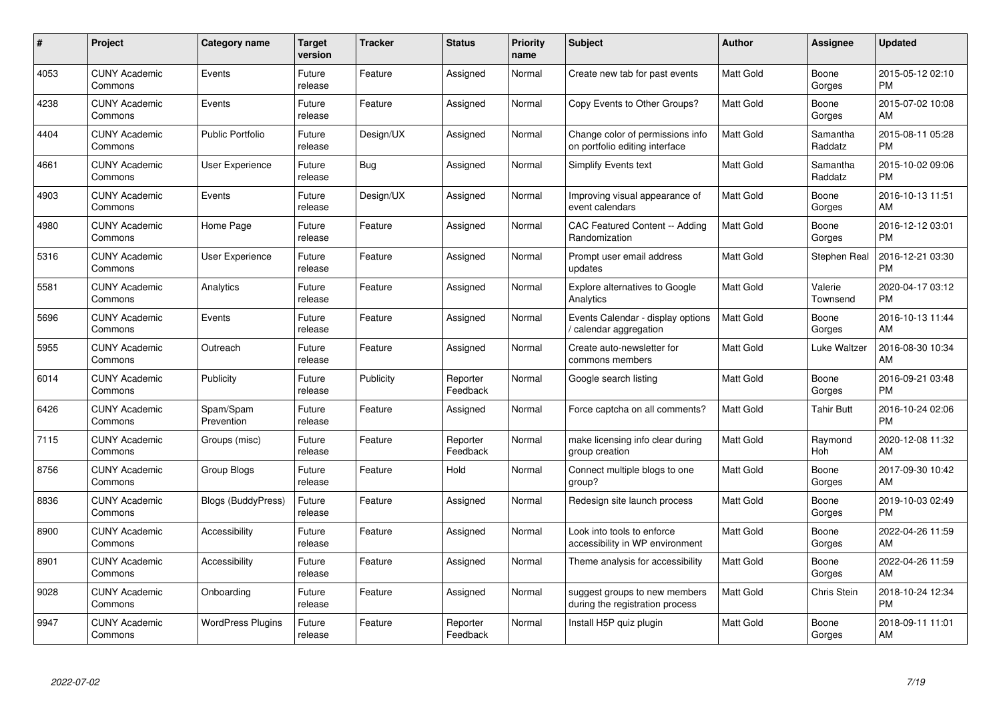| $\#$ | Project                         | <b>Category name</b>      | Target<br>version | <b>Tracker</b> | <b>Status</b>        | Priority<br>name | <b>Subject</b>                                                     | <b>Author</b>    | <b>Assignee</b>     | <b>Updated</b>                |
|------|---------------------------------|---------------------------|-------------------|----------------|----------------------|------------------|--------------------------------------------------------------------|------------------|---------------------|-------------------------------|
| 4053 | <b>CUNY Academic</b><br>Commons | Events                    | Future<br>release | Feature        | Assigned             | Normal           | Create new tab for past events                                     | <b>Matt Gold</b> | Boone<br>Gorges     | 2015-05-12 02:10<br><b>PM</b> |
| 4238 | <b>CUNY Academic</b><br>Commons | Events                    | Future<br>release | Feature        | Assigned             | Normal           | Copy Events to Other Groups?                                       | <b>Matt Gold</b> | Boone<br>Gorges     | 2015-07-02 10:08<br>AM        |
| 4404 | <b>CUNY Academic</b><br>Commons | <b>Public Portfolio</b>   | Future<br>release | Design/UX      | Assigned             | Normal           | Change color of permissions info<br>on portfolio editing interface | <b>Matt Gold</b> | Samantha<br>Raddatz | 2015-08-11 05:28<br><b>PM</b> |
| 4661 | <b>CUNY Academic</b><br>Commons | User Experience           | Future<br>release | <b>Bug</b>     | Assigned             | Normal           | Simplify Events text                                               | Matt Gold        | Samantha<br>Raddatz | 2015-10-02 09:06<br><b>PM</b> |
| 4903 | <b>CUNY Academic</b><br>Commons | Events                    | Future<br>release | Design/UX      | Assigned             | Normal           | Improving visual appearance of<br>event calendars                  | <b>Matt Gold</b> | Boone<br>Gorges     | 2016-10-13 11:51<br>AM        |
| 4980 | <b>CUNY Academic</b><br>Commons | Home Page                 | Future<br>release | Feature        | Assigned             | Normal           | CAC Featured Content -- Adding<br>Randomization                    | <b>Matt Gold</b> | Boone<br>Gorges     | 2016-12-12 03:01<br><b>PM</b> |
| 5316 | <b>CUNY Academic</b><br>Commons | <b>User Experience</b>    | Future<br>release | Feature        | Assigned             | Normal           | Prompt user email address<br>updates                               | Matt Gold        | Stephen Real        | 2016-12-21 03:30<br><b>PM</b> |
| 5581 | <b>CUNY Academic</b><br>Commons | Analytics                 | Future<br>release | Feature        | Assigned             | Normal           | Explore alternatives to Google<br>Analytics                        | <b>Matt Gold</b> | Valerie<br>Townsend | 2020-04-17 03:12<br><b>PM</b> |
| 5696 | <b>CUNY Academic</b><br>Commons | Events                    | Future<br>release | Feature        | Assigned             | Normal           | Events Calendar - display options<br>calendar aggregation          | <b>Matt Gold</b> | Boone<br>Gorges     | 2016-10-13 11:44<br>AM        |
| 5955 | <b>CUNY Academic</b><br>Commons | Outreach                  | Future<br>release | Feature        | Assigned             | Normal           | Create auto-newsletter for<br>commons members                      | <b>Matt Gold</b> | Luke Waltzer        | 2016-08-30 10:34<br>AM        |
| 6014 | <b>CUNY Academic</b><br>Commons | Publicity                 | Future<br>release | Publicity      | Reporter<br>Feedback | Normal           | Google search listing                                              | Matt Gold        | Boone<br>Gorges     | 2016-09-21 03:48<br><b>PM</b> |
| 6426 | <b>CUNY Academic</b><br>Commons | Spam/Spam<br>Prevention   | Future<br>release | Feature        | Assigned             | Normal           | Force captcha on all comments?                                     | Matt Gold        | Tahir Butt          | 2016-10-24 02:06<br><b>PM</b> |
| 7115 | <b>CUNY Academic</b><br>Commons | Groups (misc)             | Future<br>release | Feature        | Reporter<br>Feedback | Normal           | make licensing info clear during<br>group creation                 | Matt Gold        | Raymond<br>Hoh      | 2020-12-08 11:32<br>AM        |
| 8756 | <b>CUNY Academic</b><br>Commons | Group Blogs               | Future<br>release | Feature        | Hold                 | Normal           | Connect multiple blogs to one<br>group?                            | <b>Matt Gold</b> | Boone<br>Gorges     | 2017-09-30 10:42<br>AM        |
| 8836 | <b>CUNY Academic</b><br>Commons | <b>Blogs (BuddyPress)</b> | Future<br>release | Feature        | Assigned             | Normal           | Redesign site launch process                                       | <b>Matt Gold</b> | Boone<br>Gorges     | 2019-10-03 02:49<br><b>PM</b> |
| 8900 | <b>CUNY Academic</b><br>Commons | Accessibility             | Future<br>release | Feature        | Assigned             | Normal           | Look into tools to enforce<br>accessibility in WP environment      | Matt Gold        | Boone<br>Gorges     | 2022-04-26 11:59<br>AM        |
| 8901 | <b>CUNY Academic</b><br>Commons | Accessibility             | Future<br>release | Feature        | Assigned             | Normal           | Theme analysis for accessibility                                   | <b>Matt Gold</b> | Boone<br>Gorges     | 2022-04-26 11:59<br>AM        |
| 9028 | <b>CUNY Academic</b><br>Commons | Onboarding                | Future<br>release | Feature        | Assigned             | Normal           | suggest groups to new members<br>during the registration process   | <b>Matt Gold</b> | Chris Stein         | 2018-10-24 12:34<br><b>PM</b> |
| 9947 | CUNY Academic<br>Commons        | <b>WordPress Plugins</b>  | Future<br>release | Feature        | Reporter<br>Feedback | Normal           | Install H5P quiz plugin                                            | <b>Matt Gold</b> | Boone<br>Gorges     | 2018-09-11 11:01<br>AM        |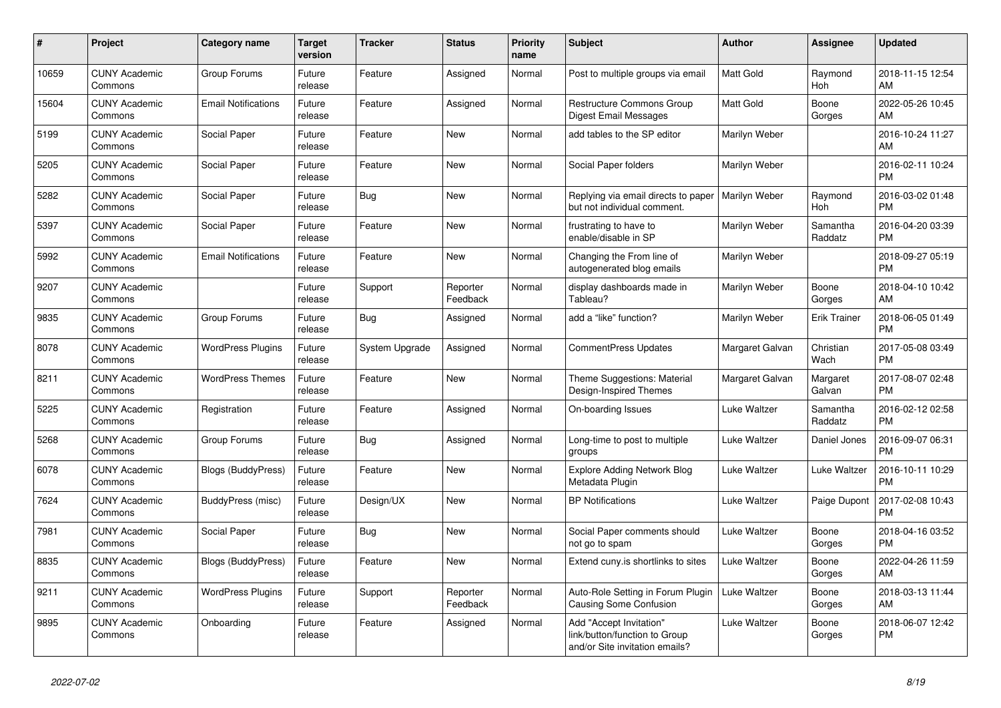| #     | <b>Project</b>                  | Category name              | <b>Target</b><br>version | <b>Tracker</b> | <b>Status</b>        | <b>Priority</b><br>name | <b>Subject</b>                                                                             | <b>Author</b>    | Assignee            | <b>Updated</b>                |
|-------|---------------------------------|----------------------------|--------------------------|----------------|----------------------|-------------------------|--------------------------------------------------------------------------------------------|------------------|---------------------|-------------------------------|
| 10659 | <b>CUNY Academic</b><br>Commons | Group Forums               | Future<br>release        | Feature        | Assigned             | Normal                  | Post to multiple groups via email                                                          | <b>Matt Gold</b> | Raymond<br>Hoh      | 2018-11-15 12:54<br>AM        |
| 15604 | <b>CUNY Academic</b><br>Commons | <b>Email Notifications</b> | Future<br>release        | Feature        | Assigned             | Normal                  | Restructure Commons Group<br>Digest Email Messages                                         | Matt Gold        | Boone<br>Gorges     | 2022-05-26 10:45<br>AM        |
| 5199  | <b>CUNY Academic</b><br>Commons | Social Paper               | Future<br>release        | Feature        | New                  | Normal                  | add tables to the SP editor                                                                | Marilyn Weber    |                     | 2016-10-24 11:27<br>AM        |
| 5205  | <b>CUNY Academic</b><br>Commons | Social Paper               | Future<br>release        | Feature        | <b>New</b>           | Normal                  | Social Paper folders                                                                       | Marilyn Weber    |                     | 2016-02-11 10:24<br><b>PM</b> |
| 5282  | <b>CUNY Academic</b><br>Commons | Social Paper               | Future<br>release        | <b>Bug</b>     | New                  | Normal                  | Replying via email directs to paper<br>but not individual comment.                         | Marilyn Weber    | Raymond<br>Hoh      | 2016-03-02 01:48<br><b>PM</b> |
| 5397  | <b>CUNY Academic</b><br>Commons | Social Paper               | Future<br>release        | Feature        | New                  | Normal                  | frustrating to have to<br>enable/disable in SP                                             | Marilyn Weber    | Samantha<br>Raddatz | 2016-04-20 03:39<br><b>PM</b> |
| 5992  | <b>CUNY Academic</b><br>Commons | <b>Email Notifications</b> | Future<br>release        | Feature        | <b>New</b>           | Normal                  | Changing the From line of<br>autogenerated blog emails                                     | Marilyn Weber    |                     | 2018-09-27 05:19<br><b>PM</b> |
| 9207  | <b>CUNY Academic</b><br>Commons |                            | Future<br>release        | Support        | Reporter<br>Feedback | Normal                  | display dashboards made in<br>Tableau?                                                     | Marilyn Weber    | Boone<br>Gorges     | 2018-04-10 10:42<br>AM        |
| 9835  | <b>CUNY Academic</b><br>Commons | Group Forums               | Future<br>release        | Bug            | Assigned             | Normal                  | add a "like" function?                                                                     | Marilyn Weber    | Erik Trainer        | 2018-06-05 01:49<br><b>PM</b> |
| 8078  | <b>CUNY Academic</b><br>Commons | <b>WordPress Plugins</b>   | Future<br>release        | System Upgrade | Assigned             | Normal                  | <b>CommentPress Updates</b>                                                                | Margaret Galvan  | Christian<br>Wach   | 2017-05-08 03:49<br><b>PM</b> |
| 8211  | <b>CUNY Academic</b><br>Commons | <b>WordPress Themes</b>    | Future<br>release        | Feature        | <b>New</b>           | Normal                  | Theme Suggestions: Material<br>Design-Inspired Themes                                      | Margaret Galvan  | Margaret<br>Galvan  | 2017-08-07 02:48<br><b>PM</b> |
| 5225  | <b>CUNY Academic</b><br>Commons | Registration               | Future<br>release        | Feature        | Assigned             | Normal                  | On-boarding Issues                                                                         | Luke Waltzer     | Samantha<br>Raddatz | 2016-02-12 02:58<br><b>PM</b> |
| 5268  | <b>CUNY Academic</b><br>Commons | Group Forums               | Future<br>release        | <b>Bug</b>     | Assigned             | Normal                  | Long-time to post to multiple<br>groups                                                    | Luke Waltzer     | Daniel Jones        | 2016-09-07 06:31<br><b>PM</b> |
| 6078  | <b>CUNY Academic</b><br>Commons | <b>Blogs (BuddyPress)</b>  | Future<br>release        | Feature        | <b>New</b>           | Normal                  | <b>Explore Adding Network Blog</b><br>Metadata Plugin                                      | Luke Waltzer     | Luke Waltzer        | 2016-10-11 10:29<br><b>PM</b> |
| 7624  | <b>CUNY Academic</b><br>Commons | BuddyPress (misc)          | Future<br>release        | Design/UX      | <b>New</b>           | Normal                  | <b>BP Notifications</b>                                                                    | Luke Waltzer     | Paige Dupont        | 2017-02-08 10:43<br><b>PM</b> |
| 7981  | <b>CUNY Academic</b><br>Commons | Social Paper               | Future<br>release        | Bug            | New                  | Normal                  | Social Paper comments should<br>not go to spam                                             | Luke Waltzer     | Boone<br>Gorges     | 2018-04-16 03:52<br><b>PM</b> |
| 8835  | <b>CUNY Academic</b><br>Commons | <b>Blogs (BuddyPress)</b>  | Future<br>release        | Feature        | <b>New</b>           | Normal                  | Extend cuny. is shortlinks to sites                                                        | Luke Waltzer     | Boone<br>Gorges     | 2022-04-26 11:59<br>AM        |
| 9211  | <b>CUNY Academic</b><br>Commons | <b>WordPress Plugins</b>   | Future<br>release        | Support        | Reporter<br>Feedback | Normal                  | Auto-Role Setting in Forum Plugin<br>Causing Some Confusion                                | Luke Waltzer     | Boone<br>Gorges     | 2018-03-13 11:44<br>AM        |
| 9895  | <b>CUNY Academic</b><br>Commons | Onboarding                 | Future<br>release        | Feature        | Assigned             | Normal                  | Add "Accept Invitation"<br>link/button/function to Group<br>and/or Site invitation emails? | Luke Waltzer     | Boone<br>Gorges     | 2018-06-07 12:42<br><b>PM</b> |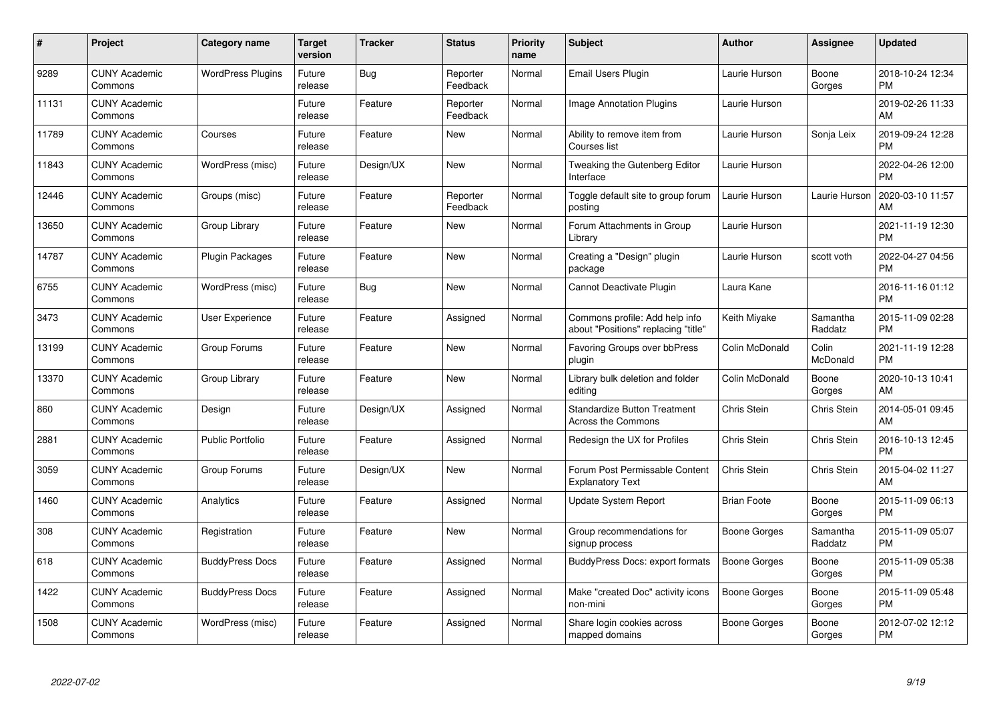| #     | Project                         | <b>Category name</b>     | Target<br>version | <b>Tracker</b> | <b>Status</b>        | Priority<br>name | <b>Subject</b>                                                        | <b>Author</b>      | <b>Assignee</b>     | <b>Updated</b>                |
|-------|---------------------------------|--------------------------|-------------------|----------------|----------------------|------------------|-----------------------------------------------------------------------|--------------------|---------------------|-------------------------------|
| 9289  | <b>CUNY Academic</b><br>Commons | <b>WordPress Plugins</b> | Future<br>release | Bug            | Reporter<br>Feedback | Normal           | <b>Email Users Plugin</b>                                             | Laurie Hurson      | Boone<br>Gorges     | 2018-10-24 12:34<br><b>PM</b> |
| 11131 | <b>CUNY Academic</b><br>Commons |                          | Future<br>release | Feature        | Reporter<br>Feedback | Normal           | Image Annotation Plugins                                              | Laurie Hurson      |                     | 2019-02-26 11:33<br><b>AM</b> |
| 11789 | <b>CUNY Academic</b><br>Commons | Courses                  | Future<br>release | Feature        | New                  | Normal           | Ability to remove item from<br>Courses list                           | Laurie Hurson      | Sonja Leix          | 2019-09-24 12:28<br><b>PM</b> |
| 11843 | <b>CUNY Academic</b><br>Commons | WordPress (misc)         | Future<br>release | Design/UX      | <b>New</b>           | Normal           | Tweaking the Gutenberg Editor<br>Interface                            | Laurie Hurson      |                     | 2022-04-26 12:00<br><b>PM</b> |
| 12446 | <b>CUNY Academic</b><br>Commons | Groups (misc)            | Future<br>release | Feature        | Reporter<br>Feedback | Normal           | Toggle default site to group forum<br>posting                         | Laurie Hurson      | Laurie Hurson       | 2020-03-10 11:57<br><b>AM</b> |
| 13650 | <b>CUNY Academic</b><br>Commons | Group Library            | Future<br>release | Feature        | <b>New</b>           | Normal           | Forum Attachments in Group<br>Library                                 | Laurie Hurson      |                     | 2021-11-19 12:30<br><b>PM</b> |
| 14787 | <b>CUNY Academic</b><br>Commons | <b>Plugin Packages</b>   | Future<br>release | Feature        | New                  | Normal           | Creating a "Design" plugin<br>package                                 | Laurie Hurson      | scott voth          | 2022-04-27 04:56<br><b>PM</b> |
| 6755  | <b>CUNY Academic</b><br>Commons | WordPress (misc)         | Future<br>release | Bug            | <b>New</b>           | Normal           | Cannot Deactivate Plugin                                              | Laura Kane         |                     | 2016-11-16 01:12<br><b>PM</b> |
| 3473  | <b>CUNY Academic</b><br>Commons | User Experience          | Future<br>release | Feature        | Assigned             | Normal           | Commons profile: Add help info<br>about "Positions" replacing "title" | Keith Miyake       | Samantha<br>Raddatz | 2015-11-09 02:28<br><b>PM</b> |
| 13199 | <b>CUNY Academic</b><br>Commons | Group Forums             | Future<br>release | Feature        | New                  | Normal           | Favoring Groups over bbPress<br>plugin                                | Colin McDonald     | Colin<br>McDonald   | 2021-11-19 12:28<br><b>PM</b> |
| 13370 | <b>CUNY Academic</b><br>Commons | Group Library            | Future<br>release | Feature        | <b>New</b>           | Normal           | Library bulk deletion and folder<br>editing                           | Colin McDonald     | Boone<br>Gorges     | 2020-10-13 10:41<br>AM        |
| 860   | <b>CUNY Academic</b><br>Commons | Design                   | Future<br>release | Design/UX      | Assigned             | Normal           | <b>Standardize Button Treatment</b><br><b>Across the Commons</b>      | Chris Stein        | Chris Stein         | 2014-05-01 09:45<br><b>AM</b> |
| 2881  | <b>CUNY Academic</b><br>Commons | <b>Public Portfolio</b>  | Future<br>release | Feature        | Assigned             | Normal           | Redesign the UX for Profiles                                          | Chris Stein        | Chris Stein         | 2016-10-13 12:45<br><b>PM</b> |
| 3059  | <b>CUNY Academic</b><br>Commons | Group Forums             | Future<br>release | Design/UX      | New                  | Normal           | Forum Post Permissable Content<br><b>Explanatory Text</b>             | Chris Stein        | Chris Stein         | 2015-04-02 11:27<br>AM.       |
| 1460  | <b>CUNY Academic</b><br>Commons | Analytics                | Future<br>release | Feature        | Assigned             | Normal           | Update System Report                                                  | <b>Brian Foote</b> | Boone<br>Gorges     | 2015-11-09 06:13<br><b>PM</b> |
| 308   | <b>CUNY Academic</b><br>Commons | Registration             | Future<br>release | Feature        | New                  | Normal           | Group recommendations for<br>signup process                           | Boone Gorges       | Samantha<br>Raddatz | 2015-11-09 05:07<br><b>PM</b> |
| 618   | <b>CUNY Academic</b><br>Commons | <b>BuddyPress Docs</b>   | Future<br>release | Feature        | Assigned             | Normal           | BuddyPress Docs: export formats                                       | Boone Gorges       | Boone<br>Gorges     | 2015-11-09 05:38<br><b>PM</b> |
| 1422  | <b>CUNY Academic</b><br>Commons | <b>BuddyPress Docs</b>   | Future<br>release | Feature        | Assigned             | Normal           | Make "created Doc" activity icons<br>non-mini                         | Boone Gorges       | Boone<br>Gorges     | 2015-11-09 05:48<br><b>PM</b> |
| 1508  | <b>CUNY Academic</b><br>Commons | WordPress (misc)         | Future<br>release | Feature        | Assigned             | Normal           | Share login cookies across<br>mapped domains                          | Boone Gorges       | Boone<br>Gorges     | 2012-07-02 12:12<br>PM        |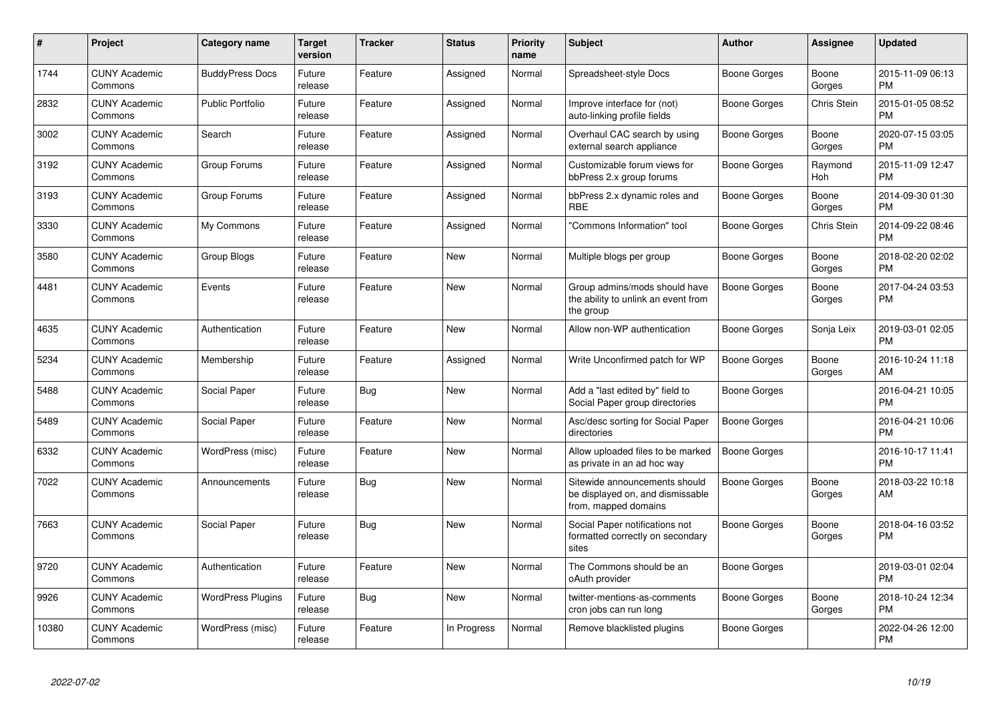| #     | Project                         | <b>Category name</b>     | <b>Target</b><br>version | <b>Tracker</b> | <b>Status</b> | <b>Priority</b><br>name | <b>Subject</b>                                                                            | <b>Author</b>       | <b>Assignee</b> | <b>Updated</b>                |
|-------|---------------------------------|--------------------------|--------------------------|----------------|---------------|-------------------------|-------------------------------------------------------------------------------------------|---------------------|-----------------|-------------------------------|
| 1744  | <b>CUNY Academic</b><br>Commons | <b>BuddyPress Docs</b>   | Future<br>release        | Feature        | Assigned      | Normal                  | Spreadsheet-style Docs                                                                    | Boone Gorges        | Boone<br>Gorges | 2015-11-09 06:13<br><b>PM</b> |
| 2832  | <b>CUNY Academic</b><br>Commons | <b>Public Portfolio</b>  | Future<br>release        | Feature        | Assigned      | Normal                  | Improve interface for (not)<br>auto-linking profile fields                                | Boone Gorges        | Chris Stein     | 2015-01-05 08:52<br><b>PM</b> |
| 3002  | <b>CUNY Academic</b><br>Commons | Search                   | Future<br>release        | Feature        | Assigned      | Normal                  | Overhaul CAC search by using<br>external search appliance                                 | Boone Gorges        | Boone<br>Gorges | 2020-07-15 03:05<br><b>PM</b> |
| 3192  | <b>CUNY Academic</b><br>Commons | Group Forums             | Future<br>release        | Feature        | Assigned      | Normal                  | Customizable forum views for<br>bbPress 2.x group forums                                  | Boone Gorges        | Raymond<br>Hoh  | 2015-11-09 12:47<br><b>PM</b> |
| 3193  | <b>CUNY Academic</b><br>Commons | Group Forums             | Future<br>release        | Feature        | Assigned      | Normal                  | bbPress 2.x dynamic roles and<br><b>RBE</b>                                               | Boone Gorges        | Boone<br>Gorges | 2014-09-30 01:30<br><b>PM</b> |
| 3330  | <b>CUNY Academic</b><br>Commons | My Commons               | Future<br>release        | Feature        | Assigned      | Normal                  | "Commons Information" tool                                                                | Boone Gorges        | Chris Stein     | 2014-09-22 08:46<br><b>PM</b> |
| 3580  | <b>CUNY Academic</b><br>Commons | Group Blogs              | Future<br>release        | Feature        | New           | Normal                  | Multiple blogs per group                                                                  | Boone Gorges        | Boone<br>Gorges | 2018-02-20 02:02<br><b>PM</b> |
| 4481  | <b>CUNY Academic</b><br>Commons | Events                   | Future<br>release        | Feature        | New           | Normal                  | Group admins/mods should have<br>the ability to unlink an event from<br>the group         | Boone Gorges        | Boone<br>Gorges | 2017-04-24 03:53<br><b>PM</b> |
| 4635  | <b>CUNY Academic</b><br>Commons | Authentication           | Future<br>release        | Feature        | <b>New</b>    | Normal                  | Allow non-WP authentication                                                               | Boone Gorges        | Sonja Leix      | 2019-03-01 02:05<br><b>PM</b> |
| 5234  | <b>CUNY Academic</b><br>Commons | Membership               | Future<br>release        | Feature        | Assigned      | Normal                  | Write Unconfirmed patch for WP                                                            | Boone Gorges        | Boone<br>Gorges | 2016-10-24 11:18<br>AM        |
| 5488  | <b>CUNY Academic</b><br>Commons | Social Paper             | Future<br>release        | Bug            | New           | Normal                  | Add a "last edited by" field to<br>Social Paper group directories                         | Boone Gorges        |                 | 2016-04-21 10:05<br><b>PM</b> |
| 5489  | <b>CUNY Academic</b><br>Commons | Social Paper             | Future<br>release        | Feature        | <b>New</b>    | Normal                  | Asc/desc sorting for Social Paper<br>directories                                          | Boone Gorges        |                 | 2016-04-21 10:06<br><b>PM</b> |
| 6332  | <b>CUNY Academic</b><br>Commons | WordPress (misc)         | Future<br>release        | Feature        | <b>New</b>    | Normal                  | Allow uploaded files to be marked<br>as private in an ad hoc way                          | <b>Boone Gorges</b> |                 | 2016-10-17 11:41<br><b>PM</b> |
| 7022  | <b>CUNY Academic</b><br>Commons | Announcements            | Future<br>release        | Bug            | <b>New</b>    | Normal                  | Sitewide announcements should<br>be displayed on, and dismissable<br>from, mapped domains | Boone Gorges        | Boone<br>Gorges | 2018-03-22 10:18<br>AM        |
| 7663  | <b>CUNY Academic</b><br>Commons | Social Paper             | Future<br>release        | Bug            | <b>New</b>    | Normal                  | Social Paper notifications not<br>formatted correctly on secondary<br>sites               | Boone Gorges        | Boone<br>Gorges | 2018-04-16 03:52<br><b>PM</b> |
| 9720  | <b>CUNY Academic</b><br>Commons | Authentication           | Future<br>release        | Feature        | New           | Normal                  | The Commons should be an<br>oAuth provider                                                | Boone Gorges        |                 | 2019-03-01 02:04<br><b>PM</b> |
| 9926  | <b>CUNY Academic</b><br>Commons | <b>WordPress Plugins</b> | Future<br>release        | Bug            | New           | Normal                  | twitter-mentions-as-comments<br>cron jobs can run long                                    | Boone Gorges        | Boone<br>Gorges | 2018-10-24 12:34<br><b>PM</b> |
| 10380 | <b>CUNY Academic</b><br>Commons | WordPress (misc)         | Future<br>release        | Feature        | In Progress   | Normal                  | Remove blacklisted plugins                                                                | Boone Gorges        |                 | 2022-04-26 12:00<br><b>PM</b> |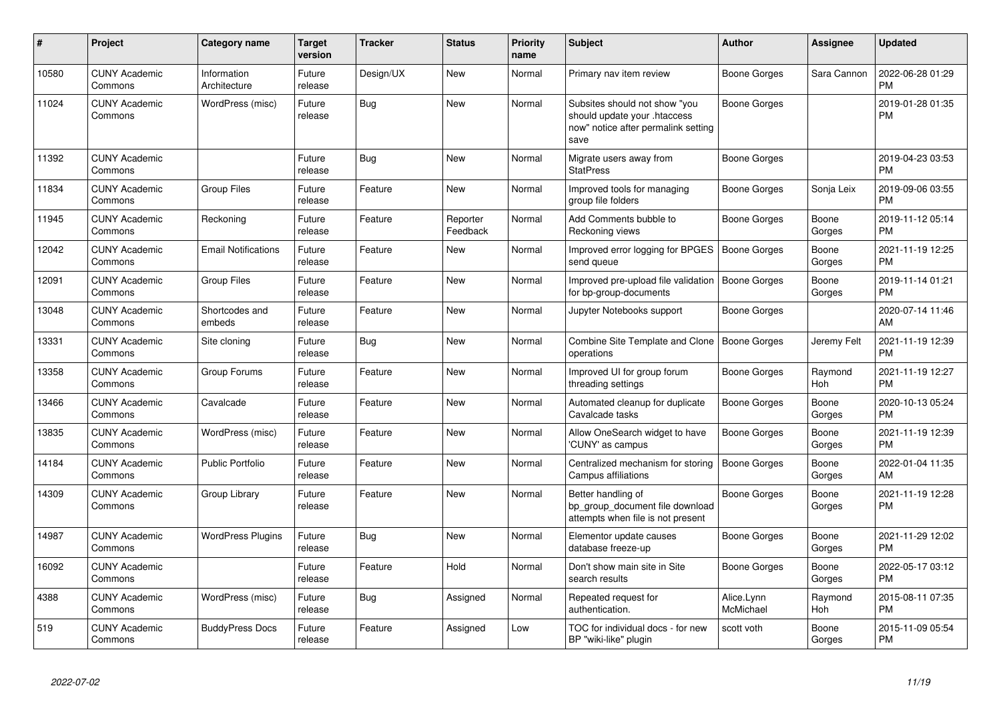| #     | <b>Project</b>                  | Category name               | <b>Target</b><br>version | <b>Tracker</b> | <b>Status</b>        | <b>Priority</b><br>name | <b>Subject</b>                                                                                               | <b>Author</b>           | Assignee        | <b>Updated</b>                |
|-------|---------------------------------|-----------------------------|--------------------------|----------------|----------------------|-------------------------|--------------------------------------------------------------------------------------------------------------|-------------------------|-----------------|-------------------------------|
| 10580 | <b>CUNY Academic</b><br>Commons | Information<br>Architecture | Future<br>release        | Design/UX      | <b>New</b>           | Normal                  | Primary nav item review                                                                                      | Boone Gorges            | Sara Cannon     | 2022-06-28 01:29<br><b>PM</b> |
| 11024 | <b>CUNY Academic</b><br>Commons | WordPress (misc)            | Future<br>release        | Bug            | <b>New</b>           | Normal                  | Subsites should not show "you<br>should update your .htaccess<br>now" notice after permalink setting<br>save | <b>Boone Gorges</b>     |                 | 2019-01-28 01:35<br><b>PM</b> |
| 11392 | <b>CUNY Academic</b><br>Commons |                             | Future<br>release        | Bug            | <b>New</b>           | Normal                  | Migrate users away from<br><b>StatPress</b>                                                                  | Boone Gorges            |                 | 2019-04-23 03:53<br><b>PM</b> |
| 11834 | <b>CUNY Academic</b><br>Commons | <b>Group Files</b>          | Future<br>release        | Feature        | <b>New</b>           | Normal                  | Improved tools for managing<br>group file folders                                                            | <b>Boone Gorges</b>     | Sonja Leix      | 2019-09-06 03:55<br><b>PM</b> |
| 11945 | <b>CUNY Academic</b><br>Commons | Reckoning                   | Future<br>release        | Feature        | Reporter<br>Feedback | Normal                  | Add Comments bubble to<br>Reckoning views                                                                    | Boone Gorges            | Boone<br>Gorges | 2019-11-12 05:14<br><b>PM</b> |
| 12042 | <b>CUNY Academic</b><br>Commons | <b>Email Notifications</b>  | Future<br>release        | Feature        | <b>New</b>           | Normal                  | Improved error logging for BPGES<br>send queue                                                               | <b>Boone Gorges</b>     | Boone<br>Gorges | 2021-11-19 12:25<br><b>PM</b> |
| 12091 | <b>CUNY Academic</b><br>Commons | Group Files                 | Future<br>release        | Feature        | <b>New</b>           | Normal                  | Improved pre-upload file validation<br>for bp-group-documents                                                | <b>Boone Gorges</b>     | Boone<br>Gorges | 2019-11-14 01:21<br><b>PM</b> |
| 13048 | <b>CUNY Academic</b><br>Commons | Shortcodes and<br>embeds    | Future<br>release        | Feature        | New                  | Normal                  | Jupyter Notebooks support                                                                                    | Boone Gorges            |                 | 2020-07-14 11:46<br>AM        |
| 13331 | <b>CUNY Academic</b><br>Commons | Site cloning                | Future<br>release        | Bug            | <b>New</b>           | Normal                  | Combine Site Template and Clone<br>operations                                                                | Boone Gorges            | Jeremy Felt     | 2021-11-19 12:39<br><b>PM</b> |
| 13358 | <b>CUNY Academic</b><br>Commons | Group Forums                | Future<br>release        | Feature        | New                  | Normal                  | Improved UI for group forum<br>threading settings                                                            | Boone Gorges            | Raymond<br>Hoh  | 2021-11-19 12:27<br><b>PM</b> |
| 13466 | <b>CUNY Academic</b><br>Commons | Cavalcade                   | Future<br>release        | Feature        | <b>New</b>           | Normal                  | Automated cleanup for duplicate<br>Cavalcade tasks                                                           | <b>Boone Gorges</b>     | Boone<br>Gorges | 2020-10-13 05:24<br><b>PM</b> |
| 13835 | <b>CUNY Academic</b><br>Commons | WordPress (misc)            | Future<br>release        | Feature        | <b>New</b>           | Normal                  | Allow OneSearch widget to have<br>'CUNY' as campus                                                           | <b>Boone Gorges</b>     | Boone<br>Gorges | 2021-11-19 12:39<br><b>PM</b> |
| 14184 | <b>CUNY Academic</b><br>Commons | <b>Public Portfolio</b>     | Future<br>release        | Feature        | <b>New</b>           | Normal                  | Centralized mechanism for storing<br>Campus affiliations                                                     | Boone Gorges            | Boone<br>Gorges | 2022-01-04 11:35<br>AM        |
| 14309 | <b>CUNY Academic</b><br>Commons | Group Library               | Future<br>release        | Feature        | <b>New</b>           | Normal                  | Better handling of<br>bp group document file download<br>attempts when file is not present                   | Boone Gorges            | Boone<br>Gorges | 2021-11-19 12:28<br><b>PM</b> |
| 14987 | <b>CUNY Academic</b><br>Commons | <b>WordPress Plugins</b>    | Future<br>release        | Bug            | <b>New</b>           | Normal                  | Elementor update causes<br>database freeze-up                                                                | Boone Gorges            | Boone<br>Gorges | 2021-11-29 12:02<br><b>PM</b> |
| 16092 | <b>CUNY Academic</b><br>Commons |                             | Future<br>release        | Feature        | Hold                 | Normal                  | Don't show main site in Site<br>search results                                                               | <b>Boone Gorges</b>     | Boone<br>Gorges | 2022-05-17 03:12<br><b>PM</b> |
| 4388  | <b>CUNY Academic</b><br>Commons | WordPress (misc)            | Future<br>release        | Bug            | Assigned             | Normal                  | Repeated request for<br>authentication.                                                                      | Alice.Lynn<br>McMichael | Raymond<br>Hoh  | 2015-08-11 07:35<br><b>PM</b> |
| 519   | <b>CUNY Academic</b><br>Commons | <b>BuddyPress Docs</b>      | Future<br>release        | Feature        | Assigned             | Low                     | TOC for individual docs - for new<br>BP "wiki-like" plugin                                                   | scott voth              | Boone<br>Gorges | 2015-11-09 05:54<br><b>PM</b> |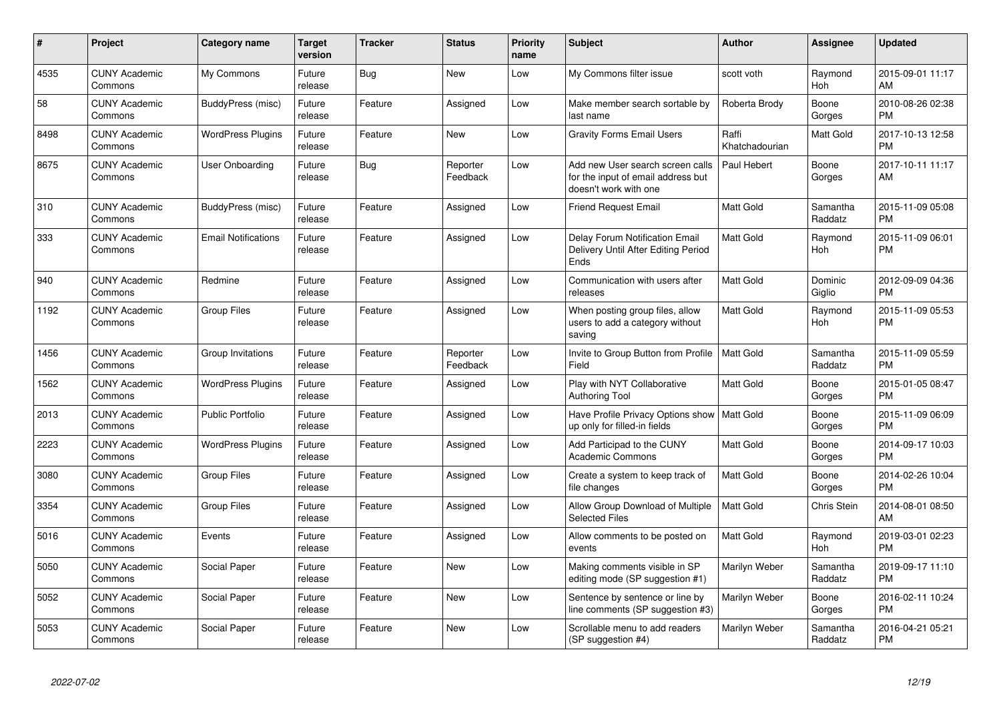| $\#$ | Project                         | <b>Category name</b>       | <b>Target</b><br>version | <b>Tracker</b> | <b>Status</b>        | <b>Priority</b><br>name | <b>Subject</b>                                                                                  | <b>Author</b>           | <b>Assignee</b>     | <b>Updated</b>                |
|------|---------------------------------|----------------------------|--------------------------|----------------|----------------------|-------------------------|-------------------------------------------------------------------------------------------------|-------------------------|---------------------|-------------------------------|
| 4535 | <b>CUNY Academic</b><br>Commons | My Commons                 | Future<br>release        | Bug            | <b>New</b>           | Low                     | My Commons filter issue                                                                         | scott voth              | Raymond<br>Hoh      | 2015-09-01 11:17<br>AM        |
| 58   | <b>CUNY Academic</b><br>Commons | BuddyPress (misc)          | Future<br>release        | Feature        | Assigned             | Low                     | Make member search sortable by<br>last name                                                     | Roberta Brody           | Boone<br>Gorges     | 2010-08-26 02:38<br><b>PM</b> |
| 8498 | <b>CUNY Academic</b><br>Commons | <b>WordPress Plugins</b>   | Future<br>release        | Feature        | <b>New</b>           | Low                     | <b>Gravity Forms Email Users</b>                                                                | Raffi<br>Khatchadourian | Matt Gold           | 2017-10-13 12:58<br><b>PM</b> |
| 8675 | <b>CUNY Academic</b><br>Commons | User Onboarding            | Future<br>release        | Bug            | Reporter<br>Feedback | Low                     | Add new User search screen calls<br>for the input of email address but<br>doesn't work with one | Paul Hebert             | Boone<br>Gorges     | 2017-10-11 11:17<br>AM        |
| 310  | <b>CUNY Academic</b><br>Commons | BuddyPress (misc)          | Future<br>release        | Feature        | Assigned             | Low                     | <b>Friend Request Email</b>                                                                     | Matt Gold               | Samantha<br>Raddatz | 2015-11-09 05:08<br><b>PM</b> |
| 333  | <b>CUNY Academic</b><br>Commons | <b>Email Notifications</b> | Future<br>release        | Feature        | Assigned             | Low                     | Delay Forum Notification Email<br>Delivery Until After Editing Period<br>Ends                   | <b>Matt Gold</b>        | Raymond<br>Hoh      | 2015-11-09 06:01<br><b>PM</b> |
| 940  | <b>CUNY Academic</b><br>Commons | Redmine                    | Future<br>release        | Feature        | Assigned             | Low                     | Communication with users after<br>releases                                                      | Matt Gold               | Dominic<br>Giglio   | 2012-09-09 04:36<br><b>PM</b> |
| 1192 | <b>CUNY Academic</b><br>Commons | <b>Group Files</b>         | Future<br>release        | Feature        | Assigned             | Low                     | When posting group files, allow<br>users to add a category without<br>saving                    | Matt Gold               | Raymond<br>Hoh      | 2015-11-09 05:53<br><b>PM</b> |
| 1456 | <b>CUNY Academic</b><br>Commons | Group Invitations          | Future<br>release        | Feature        | Reporter<br>Feedback | Low                     | Invite to Group Button from Profile<br>Field                                                    | Matt Gold               | Samantha<br>Raddatz | 2015-11-09 05:59<br><b>PM</b> |
| 1562 | <b>CUNY Academic</b><br>Commons | <b>WordPress Plugins</b>   | Future<br>release        | Feature        | Assigned             | Low                     | Play with NYT Collaborative<br><b>Authoring Tool</b>                                            | <b>Matt Gold</b>        | Boone<br>Gorges     | 2015-01-05 08:47<br><b>PM</b> |
| 2013 | <b>CUNY Academic</b><br>Commons | <b>Public Portfolio</b>    | Future<br>release        | Feature        | Assigned             | Low                     | Have Profile Privacy Options show<br>up only for filled-in fields                               | <b>Matt Gold</b>        | Boone<br>Gorges     | 2015-11-09 06:09<br><b>PM</b> |
| 2223 | <b>CUNY Academic</b><br>Commons | <b>WordPress Plugins</b>   | Future<br>release        | Feature        | Assigned             | Low                     | Add Participad to the CUNY<br><b>Academic Commons</b>                                           | Matt Gold               | Boone<br>Gorges     | 2014-09-17 10:03<br><b>PM</b> |
| 3080 | <b>CUNY Academic</b><br>Commons | Group Files                | Future<br>release        | Feature        | Assigned             | Low                     | Create a system to keep track of<br>file changes                                                | <b>Matt Gold</b>        | Boone<br>Gorges     | 2014-02-26 10:04<br><b>PM</b> |
| 3354 | <b>CUNY Academic</b><br>Commons | <b>Group Files</b>         | Future<br>release        | Feature        | Assigned             | Low                     | Allow Group Download of Multiple<br><b>Selected Files</b>                                       | <b>Matt Gold</b>        | Chris Stein         | 2014-08-01 08:50<br>AM        |
| 5016 | <b>CUNY Academic</b><br>Commons | Events                     | Future<br>release        | Feature        | Assigned             | Low                     | Allow comments to be posted on<br>events                                                        | Matt Gold               | Raymond<br>Hoh      | 2019-03-01 02:23<br><b>PM</b> |
| 5050 | <b>CUNY Academic</b><br>Commons | Social Paper               | Future<br>release        | Feature        | New                  | Low                     | Making comments visible in SP<br>editing mode (SP suggestion #1)                                | Marilyn Weber           | Samantha<br>Raddatz | 2019-09-17 11:10<br><b>PM</b> |
| 5052 | <b>CUNY Academic</b><br>Commons | Social Paper               | Future<br>release        | Feature        | <b>New</b>           | Low                     | Sentence by sentence or line by<br>line comments (SP suggestion #3)                             | Marilyn Weber           | Boone<br>Gorges     | 2016-02-11 10:24<br><b>PM</b> |
| 5053 | <b>CUNY Academic</b><br>Commons | Social Paper               | Future<br>release        | Feature        | <b>New</b>           | Low                     | Scrollable menu to add readers<br>(SP suggestion #4)                                            | Marilyn Weber           | Samantha<br>Raddatz | 2016-04-21 05:21<br><b>PM</b> |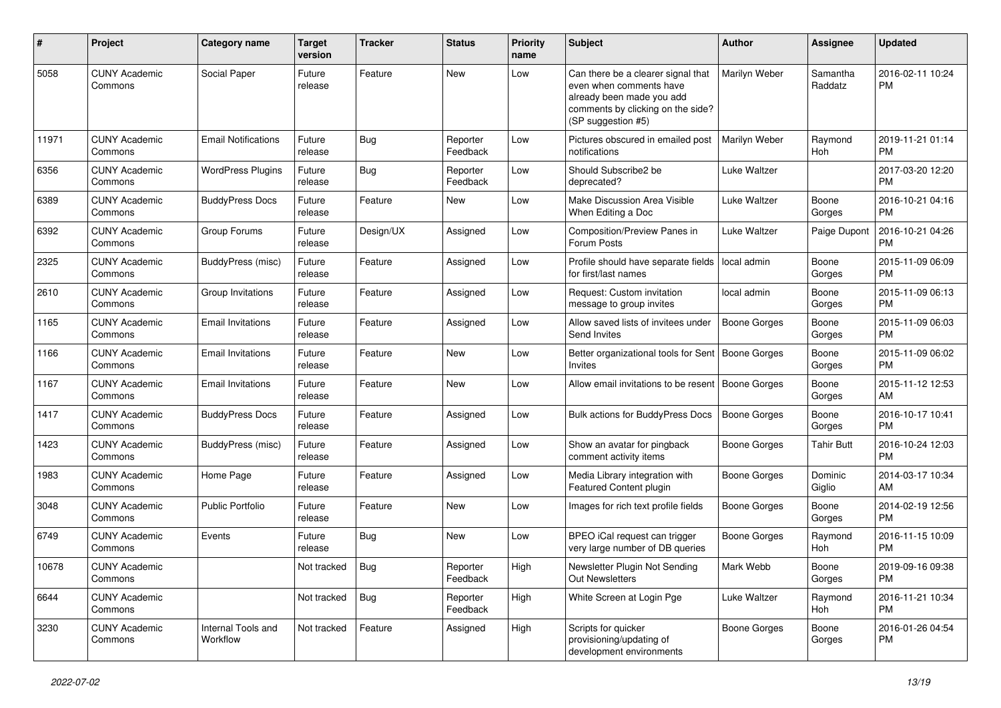| #     | Project                         | <b>Category name</b>           | <b>Target</b><br>version | Tracker    | <b>Status</b>        | <b>Priority</b><br>name | <b>Subject</b>                                                                                                                                        | Author              | Assignee            | <b>Updated</b>                |
|-------|---------------------------------|--------------------------------|--------------------------|------------|----------------------|-------------------------|-------------------------------------------------------------------------------------------------------------------------------------------------------|---------------------|---------------------|-------------------------------|
| 5058  | <b>CUNY Academic</b><br>Commons | Social Paper                   | Future<br>release        | Feature    | <b>New</b>           | Low                     | Can there be a clearer signal that<br>even when comments have<br>already been made you add<br>comments by clicking on the side?<br>(SP suggestion #5) | Marilyn Weber       | Samantha<br>Raddatz | 2016-02-11 10:24<br><b>PM</b> |
| 11971 | <b>CUNY Academic</b><br>Commons | <b>Email Notifications</b>     | Future<br>release        | <b>Bug</b> | Reporter<br>Feedback | Low                     | Pictures obscured in emailed post<br>notifications                                                                                                    | Marilyn Weber       | Raymond<br>Hoh      | 2019-11-21 01:14<br><b>PM</b> |
| 6356  | <b>CUNY Academic</b><br>Commons | <b>WordPress Plugins</b>       | Future<br>release        | Bug        | Reporter<br>Feedback | Low                     | Should Subscribe2 be<br>deprecated?                                                                                                                   | Luke Waltzer        |                     | 2017-03-20 12:20<br><b>PM</b> |
| 6389  | <b>CUNY Academic</b><br>Commons | <b>BuddyPress Docs</b>         | Future<br>release        | Feature    | New                  | Low                     | Make Discussion Area Visible<br>When Editing a Doc                                                                                                    | Luke Waltzer        | Boone<br>Gorges     | 2016-10-21 04:16<br>PM        |
| 6392  | <b>CUNY Academic</b><br>Commons | Group Forums                   | Future<br>release        | Design/UX  | Assigned             | Low                     | Composition/Preview Panes in<br>Forum Posts                                                                                                           | Luke Waltzer        | Paige Dupont        | 2016-10-21 04:26<br><b>PM</b> |
| 2325  | <b>CUNY Academic</b><br>Commons | <b>BuddyPress (misc)</b>       | Future<br>release        | Feature    | Assigned             | Low                     | Profile should have separate fields<br>for first/last names                                                                                           | local admin         | Boone<br>Gorges     | 2015-11-09 06:09<br><b>PM</b> |
| 2610  | <b>CUNY Academic</b><br>Commons | Group Invitations              | Future<br>release        | Feature    | Assigned             | Low                     | Request: Custom invitation<br>message to group invites                                                                                                | local admin         | Boone<br>Gorges     | 2015-11-09 06:13<br><b>PM</b> |
| 1165  | <b>CUNY Academic</b><br>Commons | <b>Email Invitations</b>       | Future<br>release        | Feature    | Assigned             | Low                     | Allow saved lists of invitees under<br>Send Invites                                                                                                   | <b>Boone Gorges</b> | Boone<br>Gorges     | 2015-11-09 06:03<br><b>PM</b> |
| 1166  | <b>CUNY Academic</b><br>Commons | <b>Email Invitations</b>       | Future<br>release        | Feature    | New                  | Low                     | Better organizational tools for Sent   Boone Gorges<br><b>Invites</b>                                                                                 |                     | Boone<br>Gorges     | 2015-11-09 06:02<br><b>PM</b> |
| 1167  | <b>CUNY Academic</b><br>Commons | <b>Email Invitations</b>       | Future<br>release        | Feature    | New                  | Low                     | Allow email invitations to be resent   Boone Gorges                                                                                                   |                     | Boone<br>Gorges     | 2015-11-12 12:53<br>AM        |
| 1417  | <b>CUNY Academic</b><br>Commons | <b>BuddyPress Docs</b>         | Future<br>release        | Feature    | Assigned             | Low                     | <b>Bulk actions for BuddyPress Docs</b>                                                                                                               | <b>Boone Gorges</b> | Boone<br>Gorges     | 2016-10-17 10:41<br><b>PM</b> |
| 1423  | <b>CUNY Academic</b><br>Commons | <b>BuddyPress (misc)</b>       | Future<br>release        | Feature    | Assigned             | Low                     | Show an avatar for pingback<br>comment activity items                                                                                                 | <b>Boone Gorges</b> | <b>Tahir Butt</b>   | 2016-10-24 12:03<br><b>PM</b> |
| 1983  | <b>CUNY Academic</b><br>Commons | Home Page                      | Future<br>release        | Feature    | Assigned             | Low                     | Media Library integration with<br>Featured Content plugin                                                                                             | <b>Boone Gorges</b> | Dominic<br>Giglio   | 2014-03-17 10:34<br>AM        |
| 3048  | <b>CUNY Academic</b><br>Commons | <b>Public Portfolio</b>        | Future<br>release        | Feature    | <b>New</b>           | Low                     | Images for rich text profile fields                                                                                                                   | <b>Boone Gorges</b> | Boone<br>Gorges     | 2014-02-19 12:56<br><b>PM</b> |
| 6749  | <b>CUNY Academic</b><br>Commons | Events                         | Future<br>release        | Bug        | <b>New</b>           | Low                     | BPEO iCal request can trigger<br>very large number of DB queries                                                                                      | <b>Boone Gorges</b> | Raymond<br>Hoh      | 2016-11-15 10:09<br><b>PM</b> |
| 10678 | <b>CUNY Academic</b><br>Commons |                                | Not tracked $\vert$ Bug  |            | Reporter<br>Feedback | High                    | Newsletter Plugin Not Sending<br><b>Out Newsletters</b>                                                                                               | Mark Webb           | Boone<br>Gorges     | 2019-09-16 09:38<br><b>PM</b> |
| 6644  | <b>CUNY Academic</b><br>Commons |                                | Not tracked              | Bug        | Reporter<br>Feedback | High                    | White Screen at Login Pge                                                                                                                             | Luke Waltzer        | Raymond<br>Hoh      | 2016-11-21 10:34<br><b>PM</b> |
| 3230  | <b>CUNY Academic</b><br>Commons | Internal Tools and<br>Workflow | Not tracked              | Feature    | Assigned             | High                    | Scripts for quicker<br>provisioning/updating of<br>development environments                                                                           | <b>Boone Gorges</b> | Boone<br>Gorges     | 2016-01-26 04:54<br><b>PM</b> |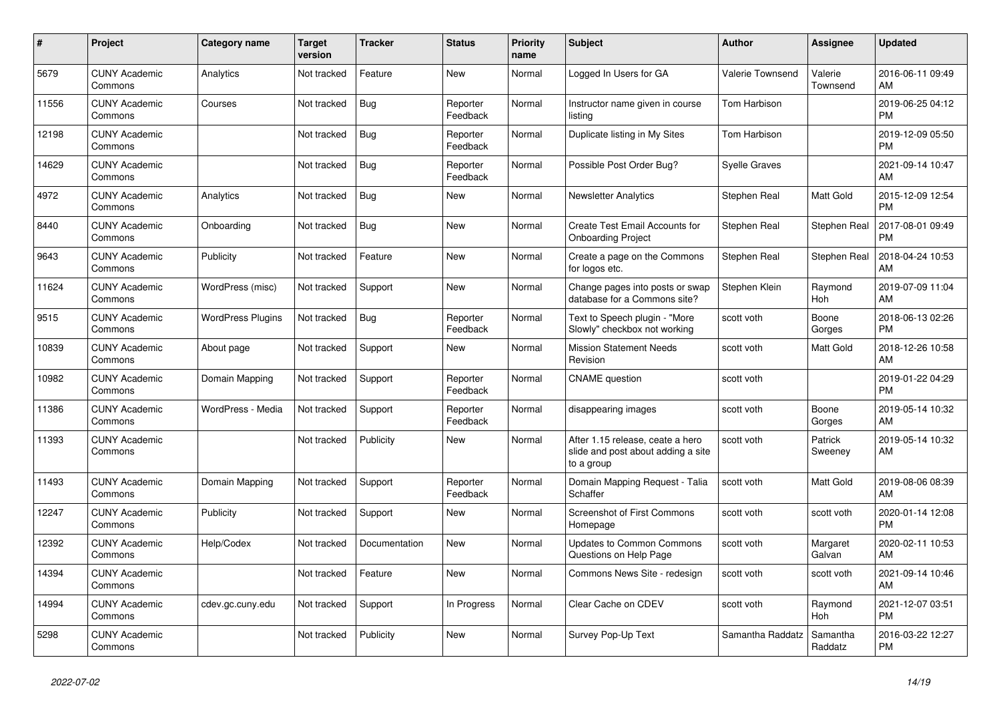| #     | <b>Project</b>                  | Category name            | <b>Target</b><br>version | <b>Tracker</b> | <b>Status</b>        | Priority<br>name | <b>Subject</b>                                                                       | <b>Author</b>    | Assignee            | <b>Updated</b>                |
|-------|---------------------------------|--------------------------|--------------------------|----------------|----------------------|------------------|--------------------------------------------------------------------------------------|------------------|---------------------|-------------------------------|
| 5679  | <b>CUNY Academic</b><br>Commons | Analytics                | Not tracked              | Feature        | New                  | Normal           | Logged In Users for GA                                                               | Valerie Townsend | Valerie<br>Townsend | 2016-06-11 09:49<br>AM        |
| 11556 | <b>CUNY Academic</b><br>Commons | Courses                  | Not tracked              | Bug            | Reporter<br>Feedback | Normal           | Instructor name given in course<br>listing                                           | Tom Harbison     |                     | 2019-06-25 04:12<br><b>PM</b> |
| 12198 | <b>CUNY Academic</b><br>Commons |                          | Not tracked              | <b>Bug</b>     | Reporter<br>Feedback | Normal           | Duplicate listing in My Sites                                                        | Tom Harbison     |                     | 2019-12-09 05:50<br><b>PM</b> |
| 14629 | <b>CUNY Academic</b><br>Commons |                          | Not tracked              | <b>Bug</b>     | Reporter<br>Feedback | Normal           | Possible Post Order Bug?                                                             | Syelle Graves    |                     | 2021-09-14 10:47<br>AM        |
| 4972  | <b>CUNY Academic</b><br>Commons | Analytics                | Not tracked              | Bug            | <b>New</b>           | Normal           | <b>Newsletter Analytics</b>                                                          | Stephen Real     | Matt Gold           | 2015-12-09 12:54<br><b>PM</b> |
| 8440  | <b>CUNY Academic</b><br>Commons | Onboarding               | Not tracked              | <b>Bug</b>     | New                  | Normal           | Create Test Email Accounts for<br><b>Onboarding Project</b>                          | Stephen Real     | Stephen Real        | 2017-08-01 09:49<br><b>PM</b> |
| 9643  | <b>CUNY Academic</b><br>Commons | Publicity                | Not tracked              | Feature        | <b>New</b>           | Normal           | Create a page on the Commons<br>for logos etc.                                       | Stephen Real     | <b>Stephen Real</b> | 2018-04-24 10:53<br>AM        |
| 11624 | <b>CUNY Academic</b><br>Commons | WordPress (misc)         | Not tracked              | Support        | <b>New</b>           | Normal           | Change pages into posts or swap<br>database for a Commons site?                      | Stephen Klein    | Raymond<br>Hoh      | 2019-07-09 11:04<br>AM        |
| 9515  | <b>CUNY Academic</b><br>Commons | <b>WordPress Plugins</b> | Not tracked              | Bug            | Reporter<br>Feedback | Normal           | Text to Speech plugin - "More<br>Slowly" checkbox not working                        | scott voth       | Boone<br>Gorges     | 2018-06-13 02:26<br><b>PM</b> |
| 10839 | <b>CUNY Academic</b><br>Commons | About page               | Not tracked              | Support        | New                  | Normal           | <b>Mission Statement Needs</b><br>Revision                                           | scott voth       | Matt Gold           | 2018-12-26 10:58<br>AM        |
| 10982 | <b>CUNY Academic</b><br>Commons | Domain Mapping           | Not tracked              | Support        | Reporter<br>Feedback | Normal           | <b>CNAME</b> question                                                                | scott voth       |                     | 2019-01-22 04:29<br><b>PM</b> |
| 11386 | <b>CUNY Academic</b><br>Commons | WordPress - Media        | Not tracked              | Support        | Reporter<br>Feedback | Normal           | disappearing images                                                                  | scott voth       | Boone<br>Gorges     | 2019-05-14 10:32<br>AM        |
| 11393 | <b>CUNY Academic</b><br>Commons |                          | Not tracked              | Publicity      | New                  | Normal           | After 1.15 release, ceate a hero<br>slide and post about adding a site<br>to a group | scott voth       | Patrick<br>Sweeney  | 2019-05-14 10:32<br>AM        |
| 11493 | <b>CUNY Academic</b><br>Commons | Domain Mapping           | Not tracked              | Support        | Reporter<br>Feedback | Normal           | Domain Mapping Request - Talia<br>Schaffer                                           | scott voth       | Matt Gold           | 2019-08-06 08:39<br>AM        |
| 12247 | <b>CUNY Academic</b><br>Commons | Publicity                | Not tracked              | Support        | New                  | Normal           | <b>Screenshot of First Commons</b><br>Homepage                                       | scott voth       | scott voth          | 2020-01-14 12:08<br><b>PM</b> |
| 12392 | <b>CUNY Academic</b><br>Commons | Help/Codex               | Not tracked              | Documentation  | New                  | Normal           | <b>Updates to Common Commons</b><br>Questions on Help Page                           | scott voth       | Margaret<br>Galvan  | 2020-02-11 10:53<br>AM        |
| 14394 | <b>CUNY Academic</b><br>Commons |                          | Not tracked              | Feature        | <b>New</b>           | Normal           | Commons News Site - redesign                                                         | scott voth       | scott voth          | 2021-09-14 10:46<br>AM        |
| 14994 | <b>CUNY Academic</b><br>Commons | cdev.gc.cuny.edu         | Not tracked              | Support        | In Progress          | Normal           | Clear Cache on CDEV                                                                  | scott voth       | Raymond<br>Hoh      | 2021-12-07 03:51<br><b>PM</b> |
| 5298  | <b>CUNY Academic</b><br>Commons |                          | Not tracked              | Publicity      | <b>New</b>           | Normal           | Survey Pop-Up Text                                                                   | Samantha Raddatz | Samantha<br>Raddatz | 2016-03-22 12:27<br><b>PM</b> |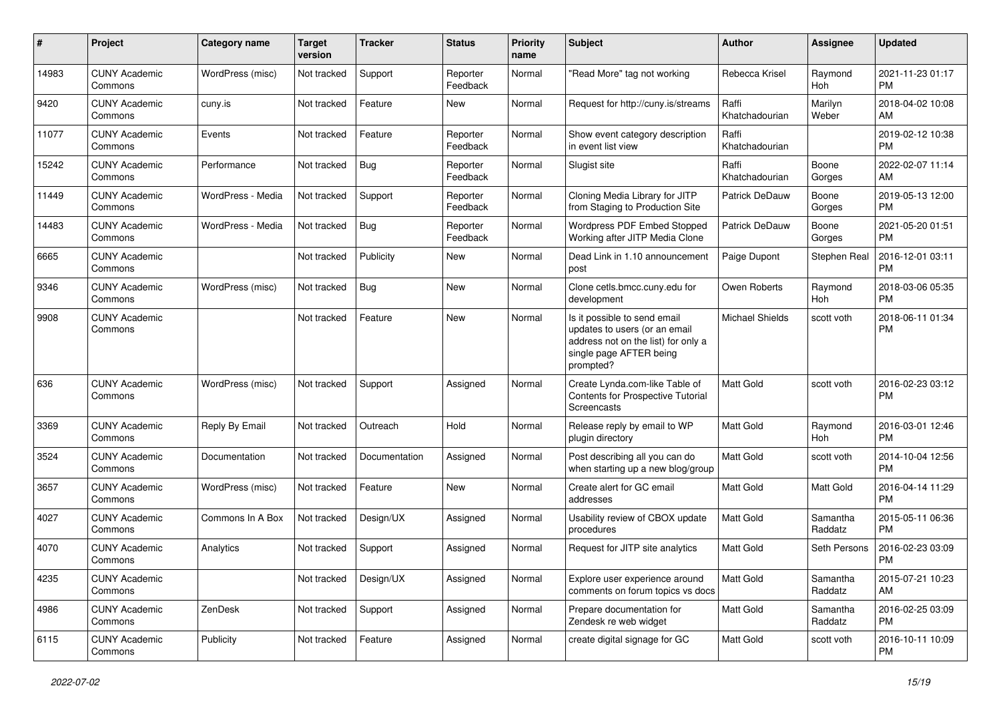| #     | Project                         | <b>Category name</b> | <b>Target</b><br>version | <b>Tracker</b> | <b>Status</b>        | Priority<br>name | <b>Subject</b>                                                                                                                               | Author                  | <b>Assignee</b>     | <b>Updated</b>                |
|-------|---------------------------------|----------------------|--------------------------|----------------|----------------------|------------------|----------------------------------------------------------------------------------------------------------------------------------------------|-------------------------|---------------------|-------------------------------|
| 14983 | <b>CUNY Academic</b><br>Commons | WordPress (misc)     | Not tracked              | Support        | Reporter<br>Feedback | Normal           | "Read More" tag not working                                                                                                                  | Rebecca Krisel          | Raymond<br>Hoh      | 2021-11-23 01:17<br><b>PM</b> |
| 9420  | <b>CUNY Academic</b><br>Commons | cuny.is              | Not tracked              | Feature        | New                  | Normal           | Request for http://cuny.is/streams                                                                                                           | Raffi<br>Khatchadourian | Marilyn<br>Weber    | 2018-04-02 10:08<br>AM        |
| 11077 | <b>CUNY Academic</b><br>Commons | Events               | Not tracked              | Feature        | Reporter<br>Feedback | Normal           | Show event category description<br>in event list view                                                                                        | Raffi<br>Khatchadourian |                     | 2019-02-12 10:38<br><b>PM</b> |
| 15242 | <b>CUNY Academic</b><br>Commons | Performance          | Not tracked              | Bug            | Reporter<br>Feedback | Normal           | Slugist site                                                                                                                                 | Raffi<br>Khatchadourian | Boone<br>Gorges     | 2022-02-07 11:14<br>AM        |
| 11449 | <b>CUNY Academic</b><br>Commons | WordPress - Media    | Not tracked              | Support        | Reporter<br>Feedback | Normal           | Cloning Media Library for JITP<br>from Staging to Production Site                                                                            | Patrick DeDauw          | Boone<br>Gorges     | 2019-05-13 12:00<br><b>PM</b> |
| 14483 | <b>CUNY Academic</b><br>Commons | WordPress - Media    | Not tracked              | Bug            | Reporter<br>Feedback | Normal           | Wordpress PDF Embed Stopped<br>Working after JITP Media Clone                                                                                | Patrick DeDauw          | Boone<br>Gorges     | 2021-05-20 01:51<br><b>PM</b> |
| 6665  | <b>CUNY Academic</b><br>Commons |                      | Not tracked              | Publicity      | New                  | Normal           | Dead Link in 1.10 announcement<br>post                                                                                                       | Paige Dupont            | Stephen Real        | 2016-12-01 03:11<br><b>PM</b> |
| 9346  | <b>CUNY Academic</b><br>Commons | WordPress (misc)     | Not tracked              | <b>Bug</b>     | New                  | Normal           | Clone cetls.bmcc.cuny.edu for<br>development                                                                                                 | Owen Roberts            | Raymond<br>Hoh      | 2018-03-06 05:35<br><b>PM</b> |
| 9908  | <b>CUNY Academic</b><br>Commons |                      | Not tracked              | Feature        | New                  | Normal           | Is it possible to send email<br>updates to users (or an email<br>address not on the list) for only a<br>single page AFTER being<br>prompted? | <b>Michael Shields</b>  | scott voth          | 2018-06-11 01:34<br><b>PM</b> |
| 636   | <b>CUNY Academic</b><br>Commons | WordPress (misc)     | Not tracked              | Support        | Assigned             | Normal           | Create Lynda.com-like Table of<br>Contents for Prospective Tutorial<br>Screencasts                                                           | <b>Matt Gold</b>        | scott voth          | 2016-02-23 03:12<br><b>PM</b> |
| 3369  | <b>CUNY Academic</b><br>Commons | Reply By Email       | Not tracked              | Outreach       | Hold                 | Normal           | Release reply by email to WP<br>plugin directory                                                                                             | <b>Matt Gold</b>        | Raymond<br>Hoh      | 2016-03-01 12:46<br><b>PM</b> |
| 3524  | <b>CUNY Academic</b><br>Commons | Documentation        | Not tracked              | Documentation  | Assigned             | Normal           | Post describing all you can do<br>when starting up a new blog/group                                                                          | <b>Matt Gold</b>        | scott voth          | 2014-10-04 12:56<br><b>PM</b> |
| 3657  | <b>CUNY Academic</b><br>Commons | WordPress (misc)     | Not tracked              | Feature        | <b>New</b>           | Normal           | Create alert for GC email<br>addresses                                                                                                       | Matt Gold               | Matt Gold           | 2016-04-14 11:29<br><b>PM</b> |
| 4027  | <b>CUNY Academic</b><br>Commons | Commons In A Box     | Not tracked              | Design/UX      | Assigned             | Normal           | Usability review of CBOX update<br>procedures                                                                                                | <b>Matt Gold</b>        | Samantha<br>Raddatz | 2015-05-11 06:36<br><b>PM</b> |
| 4070  | CUNY Academic<br>Commons        | Analytics            | Not tracked              | Support        | Assigned             | Normal           | Request for JITP site analytics                                                                                                              | Matt Gold               | Seth Persons        | 2016-02-23 03:09<br><b>PM</b> |
| 4235  | <b>CUNY Academic</b><br>Commons |                      | Not tracked              | Design/UX      | Assigned             | Normal           | Explore user experience around<br>comments on forum topics vs docs                                                                           | Matt Gold               | Samantha<br>Raddatz | 2015-07-21 10:23<br>AM        |
| 4986  | <b>CUNY Academic</b><br>Commons | ZenDesk              | Not tracked              | Support        | Assigned             | Normal           | Prepare documentation for<br>Zendesk re web widget                                                                                           | Matt Gold               | Samantha<br>Raddatz | 2016-02-25 03:09<br><b>PM</b> |
| 6115  | <b>CUNY Academic</b><br>Commons | Publicity            | Not tracked              | Feature        | Assigned             | Normal           | create digital signage for GC                                                                                                                | Matt Gold               | scott voth          | 2016-10-11 10:09<br>PM        |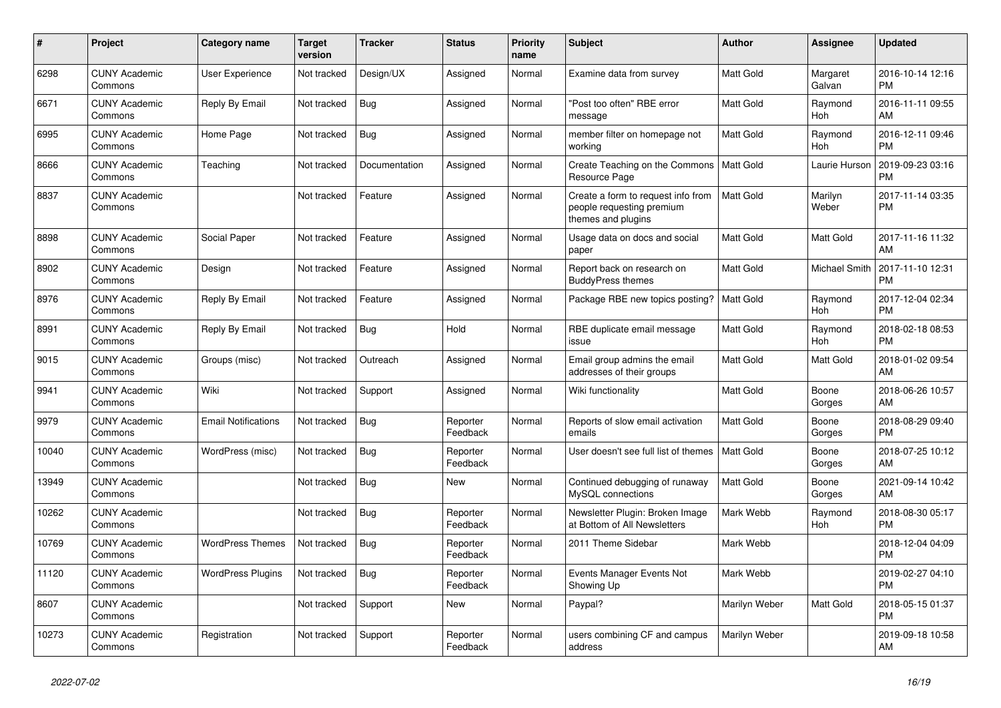| #     | <b>Project</b>                  | Category name              | <b>Target</b><br>version | <b>Tracker</b> | <b>Status</b>        | Priority<br>name | <b>Subject</b>                                                                        | Author           | Assignee             | <b>Updated</b>                |
|-------|---------------------------------|----------------------------|--------------------------|----------------|----------------------|------------------|---------------------------------------------------------------------------------------|------------------|----------------------|-------------------------------|
| 6298  | <b>CUNY Academic</b><br>Commons | <b>User Experience</b>     | Not tracked              | Design/UX      | Assigned             | Normal           | Examine data from survey                                                              | <b>Matt Gold</b> | Margaret<br>Galvan   | 2016-10-14 12:16<br><b>PM</b> |
| 6671  | <b>CUNY Academic</b><br>Commons | Reply By Email             | Not tracked              | Bug            | Assigned             | Normal           | 'Post too often" RBE error<br>message                                                 | <b>Matt Gold</b> | Raymond<br>Hoh       | 2016-11-11 09:55<br>AM        |
| 6995  | <b>CUNY Academic</b><br>Commons | Home Page                  | Not tracked              | <b>Bug</b>     | Assigned             | Normal           | member filter on homepage not<br>working                                              | <b>Matt Gold</b> | Raymond<br>Hoh       | 2016-12-11 09:46<br><b>PM</b> |
| 8666  | <b>CUNY Academic</b><br>Commons | Teaching                   | Not tracked              | Documentation  | Assigned             | Normal           | Create Teaching on the Commons   Matt Gold<br>Resource Page                           |                  | Laurie Hurson        | 2019-09-23 03:16<br><b>PM</b> |
| 8837  | <b>CUNY Academic</b><br>Commons |                            | Not tracked              | Feature        | Assigned             | Normal           | Create a form to request info from<br>people requesting premium<br>themes and plugins | <b>Matt Gold</b> | Marilyn<br>Weber     | 2017-11-14 03:35<br><b>PM</b> |
| 8898  | <b>CUNY Academic</b><br>Commons | Social Paper               | Not tracked              | Feature        | Assigned             | Normal           | Usage data on docs and social<br>paper                                                | <b>Matt Gold</b> | Matt Gold            | 2017-11-16 11:32<br>AM        |
| 8902  | <b>CUNY Academic</b><br>Commons | Design                     | Not tracked              | Feature        | Assigned             | Normal           | Report back on research on<br><b>BuddyPress themes</b>                                | Matt Gold        | <b>Michael Smith</b> | 2017-11-10 12:31<br><b>PM</b> |
| 8976  | <b>CUNY Academic</b><br>Commons | Reply By Email             | Not tracked              | Feature        | Assigned             | Normal           | Package RBE new topics posting?                                                       | <b>Matt Gold</b> | Raymond<br>Hoh       | 2017-12-04 02:34<br><b>PM</b> |
| 8991  | <b>CUNY Academic</b><br>Commons | Reply By Email             | Not tracked              | Bug            | Hold                 | Normal           | RBE duplicate email message<br>issue                                                  | <b>Matt Gold</b> | Raymond<br>Hoh       | 2018-02-18 08:53<br><b>PM</b> |
| 9015  | <b>CUNY Academic</b><br>Commons | Groups (misc)              | Not tracked              | Outreach       | Assigned             | Normal           | Email group admins the email<br>addresses of their groups                             | Matt Gold        | Matt Gold            | 2018-01-02 09:54<br>AM        |
| 9941  | <b>CUNY Academic</b><br>Commons | Wiki                       | Not tracked              | Support        | Assigned             | Normal           | Wiki functionality                                                                    | Matt Gold        | Boone<br>Gorges      | 2018-06-26 10:57<br>AM        |
| 9979  | <b>CUNY Academic</b><br>Commons | <b>Email Notifications</b> | Not tracked              | Bug            | Reporter<br>Feedback | Normal           | Reports of slow email activation<br>emails                                            | <b>Matt Gold</b> | Boone<br>Gorges      | 2018-08-29 09:40<br><b>PM</b> |
| 10040 | <b>CUNY Academic</b><br>Commons | WordPress (misc)           | Not tracked              | Bug            | Reporter<br>Feedback | Normal           | User doesn't see full list of themes                                                  | <b>Matt Gold</b> | Boone<br>Gorges      | 2018-07-25 10:12<br>AM        |
| 13949 | <b>CUNY Academic</b><br>Commons |                            | Not tracked              | <b>Bug</b>     | <b>New</b>           | Normal           | Continued debugging of runaway<br>MySQL connections                                   | Matt Gold        | Boone<br>Gorges      | 2021-09-14 10:42<br>AM        |
| 10262 | <b>CUNY Academic</b><br>Commons |                            | Not tracked              | Bug            | Reporter<br>Feedback | Normal           | Newsletter Plugin: Broken Image<br>at Bottom of All Newsletters                       | Mark Webb        | Raymond<br>Hoh       | 2018-08-30 05:17<br><b>PM</b> |
| 10769 | <b>CUNY Academic</b><br>Commons | <b>WordPress Themes</b>    | Not tracked              | <b>Bug</b>     | Reporter<br>Feedback | Normal           | 2011 Theme Sidebar                                                                    | Mark Webb        |                      | 2018-12-04 04:09<br><b>PM</b> |
| 11120 | <b>CUNY Academic</b><br>Commons | <b>WordPress Plugins</b>   | Not tracked              | Bug            | Reporter<br>Feedback | Normal           | Events Manager Events Not<br>Showing Up                                               | Mark Webb        |                      | 2019-02-27 04:10<br><b>PM</b> |
| 8607  | <b>CUNY Academic</b><br>Commons |                            | Not tracked              | Support        | <b>New</b>           | Normal           | Paypal?                                                                               | Marilyn Weber    | <b>Matt Gold</b>     | 2018-05-15 01:37<br><b>PM</b> |
| 10273 | <b>CUNY Academic</b><br>Commons | Registration               | Not tracked              | Support        | Reporter<br>Feedback | Normal           | users combining CF and campus<br>address                                              | Marilyn Weber    |                      | 2019-09-18 10:58<br>AM        |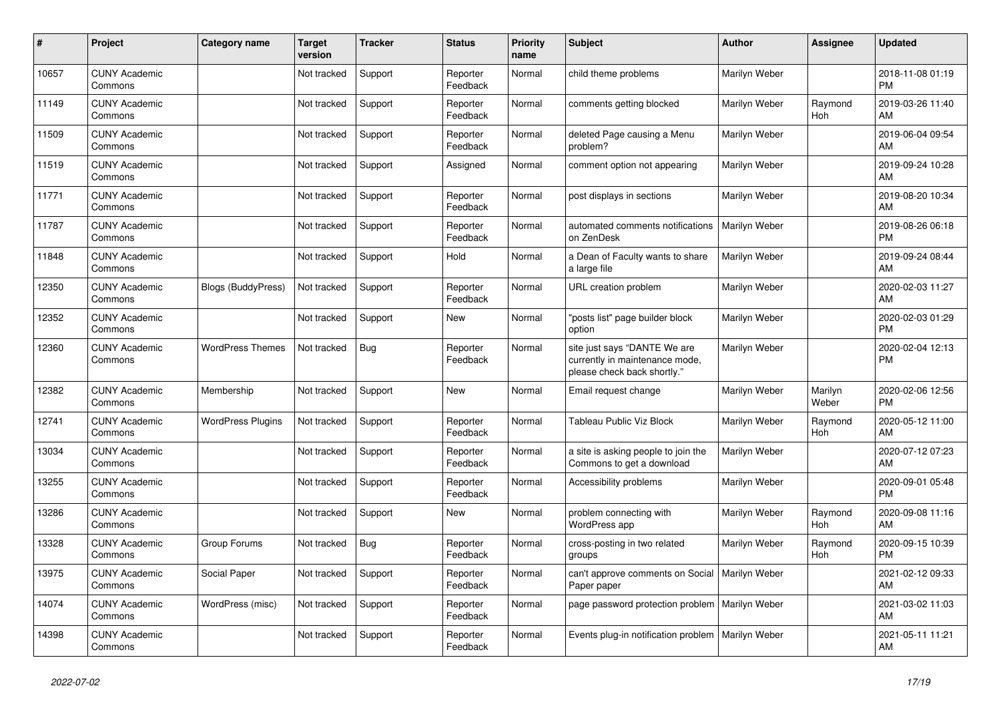| #     | Project                         | <b>Category name</b>      | <b>Target</b><br>version | <b>Tracker</b> | <b>Status</b>        | <b>Priority</b><br>name | <b>Subject</b>                                                                                | <b>Author</b> | Assignee         | <b>Updated</b>                |
|-------|---------------------------------|---------------------------|--------------------------|----------------|----------------------|-------------------------|-----------------------------------------------------------------------------------------------|---------------|------------------|-------------------------------|
| 10657 | <b>CUNY Academic</b><br>Commons |                           | Not tracked              | Support        | Reporter<br>Feedback | Normal                  | child theme problems                                                                          | Marilyn Weber |                  | 2018-11-08 01:19<br><b>PM</b> |
| 11149 | <b>CUNY Academic</b><br>Commons |                           | Not tracked              | Support        | Reporter<br>Feedback | Normal                  | comments getting blocked                                                                      | Marilyn Weber | Raymond<br>Hoh   | 2019-03-26 11:40<br>AM        |
| 11509 | <b>CUNY Academic</b><br>Commons |                           | Not tracked              | Support        | Reporter<br>Feedback | Normal                  | deleted Page causing a Menu<br>problem?                                                       | Marilyn Weber |                  | 2019-06-04 09:54<br>AM        |
| 11519 | <b>CUNY Academic</b><br>Commons |                           | Not tracked              | Support        | Assigned             | Normal                  | comment option not appearing                                                                  | Marilyn Weber |                  | 2019-09-24 10:28<br>AM        |
| 11771 | <b>CUNY Academic</b><br>Commons |                           | Not tracked              | Support        | Reporter<br>Feedback | Normal                  | post displays in sections                                                                     | Marilyn Weber |                  | 2019-08-20 10:34<br>AM        |
| 11787 | <b>CUNY Academic</b><br>Commons |                           | Not tracked              | Support        | Reporter<br>Feedback | Normal                  | automated comments notifications<br>on ZenDesk                                                | Marilyn Weber |                  | 2019-08-26 06:18<br><b>PM</b> |
| 11848 | <b>CUNY Academic</b><br>Commons |                           | Not tracked              | Support        | Hold                 | Normal                  | a Dean of Faculty wants to share<br>a large file                                              | Marilyn Weber |                  | 2019-09-24 08:44<br>AM        |
| 12350 | <b>CUNY Academic</b><br>Commons | <b>Blogs (BuddyPress)</b> | Not tracked              | Support        | Reporter<br>Feedback | Normal                  | URL creation problem                                                                          | Marilyn Weber |                  | 2020-02-03 11:27<br>AM        |
| 12352 | <b>CUNY Academic</b><br>Commons |                           | Not tracked              | Support        | New                  | Normal                  | "posts list" page builder block<br>option                                                     | Marilyn Weber |                  | 2020-02-03 01:29<br><b>PM</b> |
| 12360 | <b>CUNY Academic</b><br>Commons | <b>WordPress Themes</b>   | Not tracked              | <b>Bug</b>     | Reporter<br>Feedback | Normal                  | site just says "DANTE We are<br>currently in maintenance mode,<br>please check back shortly." | Marilyn Weber |                  | 2020-02-04 12:13<br><b>PM</b> |
| 12382 | <b>CUNY Academic</b><br>Commons | Membership                | Not tracked              | Support        | <b>New</b>           | Normal                  | Email request change                                                                          | Marilyn Weber | Marilyn<br>Weber | 2020-02-06 12:56<br><b>PM</b> |
| 12741 | <b>CUNY Academic</b><br>Commons | <b>WordPress Plugins</b>  | Not tracked              | Support        | Reporter<br>Feedback | Normal                  | Tableau Public Viz Block                                                                      | Marilyn Weber | Raymond<br>Hoh   | 2020-05-12 11:00<br>AM        |
| 13034 | <b>CUNY Academic</b><br>Commons |                           | Not tracked              | Support        | Reporter<br>Feedback | Normal                  | a site is asking people to join the<br>Commons to get a download                              | Marilyn Weber |                  | 2020-07-12 07:23<br>AM        |
| 13255 | <b>CUNY Academic</b><br>Commons |                           | Not tracked              | Support        | Reporter<br>Feedback | Normal                  | Accessibility problems                                                                        | Marilyn Weber |                  | 2020-09-01 05:48<br><b>PM</b> |
| 13286 | <b>CUNY Academic</b><br>Commons |                           | Not tracked              | Support        | <b>New</b>           | Normal                  | problem connecting with<br>WordPress app                                                      | Marilyn Weber | Raymond<br>Hoh   | 2020-09-08 11:16<br>AM        |
| 13328 | <b>CUNY Academic</b><br>Commons | Group Forums              | Not tracked              | Bug            | Reporter<br>Feedback | Normal                  | cross-posting in two related<br>groups                                                        | Marilyn Weber | Raymond<br>Hoh   | 2020-09-15 10:39<br><b>PM</b> |
| 13975 | <b>CUNY Academic</b><br>Commons | Social Paper              | Not tracked              | Support        | Reporter<br>Feedback | Normal                  | can't approve comments on Social<br>Paper paper                                               | Marilyn Weber |                  | 2021-02-12 09:33<br>AM        |
| 14074 | <b>CUNY Academic</b><br>Commons | WordPress (misc)          | Not tracked              | Support        | Reporter<br>Feedback | Normal                  | page password protection problem   Marilyn Weber                                              |               |                  | 2021-03-02 11:03<br>AM        |
| 14398 | <b>CUNY Academic</b><br>Commons |                           | Not tracked              | Support        | Reporter<br>Feedback | Normal                  | Events plug-in notification problem   Marilyn Weber                                           |               |                  | 2021-05-11 11:21<br>AM        |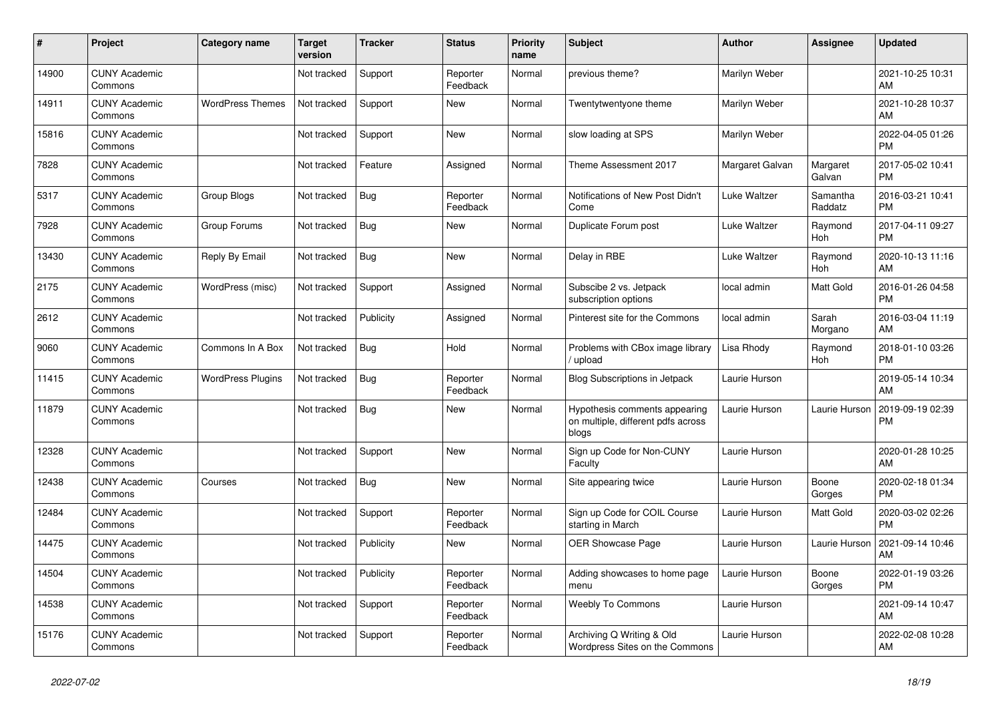| #     | Project                         | <b>Category name</b>     | <b>Target</b><br>version | <b>Tracker</b> | <b>Status</b>        | <b>Priority</b><br>name | <b>Subject</b>                                                               | <b>Author</b>   | <b>Assignee</b>     | <b>Updated</b>                |
|-------|---------------------------------|--------------------------|--------------------------|----------------|----------------------|-------------------------|------------------------------------------------------------------------------|-----------------|---------------------|-------------------------------|
| 14900 | <b>CUNY Academic</b><br>Commons |                          | Not tracked              | Support        | Reporter<br>Feedback | Normal                  | previous theme?                                                              | Marilyn Weber   |                     | 2021-10-25 10:31<br>AM        |
| 14911 | <b>CUNY Academic</b><br>Commons | <b>WordPress Themes</b>  | Not tracked              | Support        | New                  | Normal                  | Twentytwentyone theme                                                        | Marilyn Weber   |                     | 2021-10-28 10:37<br>AM        |
| 15816 | <b>CUNY Academic</b><br>Commons |                          | Not tracked              | Support        | <b>New</b>           | Normal                  | slow loading at SPS                                                          | Marilyn Weber   |                     | 2022-04-05 01:26<br><b>PM</b> |
| 7828  | <b>CUNY Academic</b><br>Commons |                          | Not tracked              | Feature        | Assigned             | Normal                  | Theme Assessment 2017                                                        | Margaret Galvan | Margaret<br>Galvan  | 2017-05-02 10:41<br><b>PM</b> |
| 5317  | <b>CUNY Academic</b><br>Commons | Group Blogs              | Not tracked              | <b>Bug</b>     | Reporter<br>Feedback | Normal                  | Notifications of New Post Didn't<br>Come                                     | Luke Waltzer    | Samantha<br>Raddatz | 2016-03-21 10:41<br><b>PM</b> |
| 7928  | <b>CUNY Academic</b><br>Commons | Group Forums             | Not tracked              | <b>Bug</b>     | New                  | Normal                  | Duplicate Forum post                                                         | Luke Waltzer    | Raymond<br>Hoh      | 2017-04-11 09:27<br><b>PM</b> |
| 13430 | <b>CUNY Academic</b><br>Commons | Reply By Email           | Not tracked              | <b>Bug</b>     | <b>New</b>           | Normal                  | Delay in RBE                                                                 | Luke Waltzer    | Raymond<br>Hoh      | 2020-10-13 11:16<br>AM        |
| 2175  | <b>CUNY Academic</b><br>Commons | WordPress (misc)         | Not tracked              | Support        | Assigned             | Normal                  | Subscibe 2 vs. Jetpack<br>subscription options                               | local admin     | Matt Gold           | 2016-01-26 04:58<br><b>PM</b> |
| 2612  | <b>CUNY Academic</b><br>Commons |                          | Not tracked              | Publicity      | Assigned             | Normal                  | Pinterest site for the Commons                                               | local admin     | Sarah<br>Morgano    | 2016-03-04 11:19<br>AM        |
| 9060  | <b>CUNY Academic</b><br>Commons | Commons In A Box         | Not tracked              | Bug            | Hold                 | Normal                  | Problems with CBox image library<br>/ upload                                 | Lisa Rhody      | Raymond<br>Hoh      | 2018-01-10 03:26<br><b>PM</b> |
| 11415 | <b>CUNY Academic</b><br>Commons | <b>WordPress Plugins</b> | Not tracked              | Bug            | Reporter<br>Feedback | Normal                  | <b>Blog Subscriptions in Jetpack</b>                                         | Laurie Hurson   |                     | 2019-05-14 10:34<br>AM        |
| 11879 | <b>CUNY Academic</b><br>Commons |                          | Not tracked              | <b>Bug</b>     | New                  | Normal                  | Hypothesis comments appearing<br>on multiple, different pdfs across<br>blogs | Laurie Hurson   | Laurie Hurson       | 2019-09-19 02:39<br><b>PM</b> |
| 12328 | <b>CUNY Academic</b><br>Commons |                          | Not tracked              | Support        | <b>New</b>           | Normal                  | Sign up Code for Non-CUNY<br>Faculty                                         | Laurie Hurson   |                     | 2020-01-28 10:25<br>AM        |
| 12438 | <b>CUNY Academic</b><br>Commons | Courses                  | Not tracked              | <b>Bug</b>     | New                  | Normal                  | Site appearing twice                                                         | Laurie Hurson   | Boone<br>Gorges     | 2020-02-18 01:34<br><b>PM</b> |
| 12484 | <b>CUNY Academic</b><br>Commons |                          | Not tracked              | Support        | Reporter<br>Feedback | Normal                  | Sign up Code for COIL Course<br>starting in March                            | Laurie Hurson   | Matt Gold           | 2020-03-02 02:26<br><b>PM</b> |
| 14475 | <b>CUNY Academic</b><br>Commons |                          | Not tracked              | Publicity      | <b>New</b>           | Normal                  | OER Showcase Page                                                            | Laurie Hurson   | Laurie Hurson       | 2021-09-14 10:46<br>AM        |
| 14504 | <b>CUNY Academic</b><br>Commons |                          | Not tracked              | Publicity      | Reporter<br>Feedback | Normal                  | Adding showcases to home page<br>menu                                        | Laurie Hurson   | Boone<br>Gorges     | 2022-01-19 03:26<br><b>PM</b> |
| 14538 | <b>CUNY Academic</b><br>Commons |                          | Not tracked              | Support        | Reporter<br>Feedback | Normal                  | <b>Weebly To Commons</b>                                                     | Laurie Hurson   |                     | 2021-09-14 10:47<br>AM        |
| 15176 | <b>CUNY Academic</b><br>Commons |                          | Not tracked              | Support        | Reporter<br>Feedback | Normal                  | Archiving Q Writing & Old<br>Wordpress Sites on the Commons                  | Laurie Hurson   |                     | 2022-02-08 10:28<br>AM        |